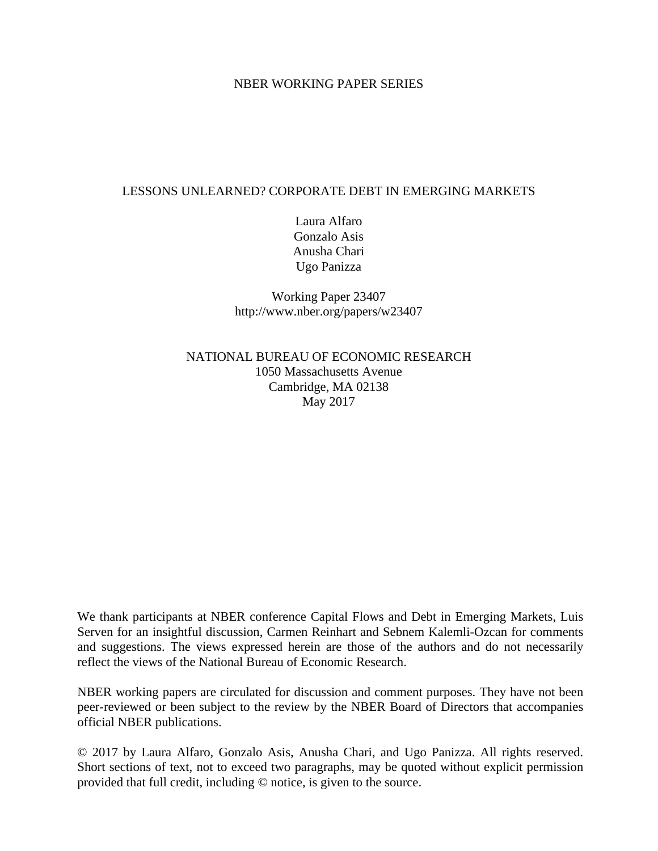## NBER WORKING PAPER SERIES

# LESSONS UNLEARNED? CORPORATE DEBT IN EMERGING MARKETS

Laura Alfaro Gonzalo Asis Anusha Chari Ugo Panizza

Working Paper 23407 http://www.nber.org/papers/w23407

NATIONAL BUREAU OF ECONOMIC RESEARCH 1050 Massachusetts Avenue Cambridge, MA 02138 May 2017

We thank participants at NBER conference Capital Flows and Debt in Emerging Markets, Luis Serven for an insightful discussion, Carmen Reinhart and Sebnem Kalemli-Ozcan for comments and suggestions. The views expressed herein are those of the authors and do not necessarily reflect the views of the National Bureau of Economic Research.

NBER working papers are circulated for discussion and comment purposes. They have not been peer-reviewed or been subject to the review by the NBER Board of Directors that accompanies official NBER publications.

© 2017 by Laura Alfaro, Gonzalo Asis, Anusha Chari, and Ugo Panizza. All rights reserved. Short sections of text, not to exceed two paragraphs, may be quoted without explicit permission provided that full credit, including © notice, is given to the source.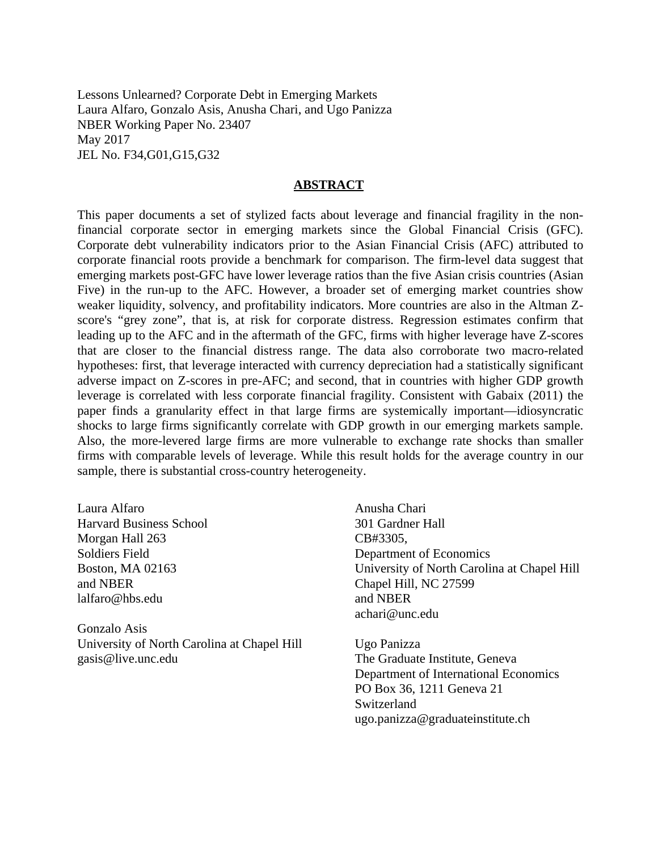Lessons Unlearned? Corporate Debt in Emerging Markets Laura Alfaro, Gonzalo Asis, Anusha Chari, and Ugo Panizza NBER Working Paper No. 23407 May 2017 JEL No. F34,G01,G15,G32

#### **ABSTRACT**

This paper documents a set of stylized facts about leverage and financial fragility in the nonfinancial corporate sector in emerging markets since the Global Financial Crisis (GFC). Corporate debt vulnerability indicators prior to the Asian Financial Crisis (AFC) attributed to corporate financial roots provide a benchmark for comparison. The firm-level data suggest that emerging markets post-GFC have lower leverage ratios than the five Asian crisis countries (Asian Five) in the run-up to the AFC. However, a broader set of emerging market countries show weaker liquidity, solvency, and profitability indicators. More countries are also in the Altman Zscore's "grey zone", that is, at risk for corporate distress. Regression estimates confirm that leading up to the AFC and in the aftermath of the GFC, firms with higher leverage have Z-scores that are closer to the financial distress range. The data also corroborate two macro-related hypotheses: first, that leverage interacted with currency depreciation had a statistically significant adverse impact on Z-scores in pre-AFC; and second, that in countries with higher GDP growth leverage is correlated with less corporate financial fragility. Consistent with Gabaix (2011) the paper finds a granularity effect in that large firms are systemically important—idiosyncratic shocks to large firms significantly correlate with GDP growth in our emerging markets sample. Also, the more-levered large firms are more vulnerable to exchange rate shocks than smaller firms with comparable levels of leverage. While this result holds for the average country in our sample, there is substantial cross-country heterogeneity.

Laura Alfaro Harvard Business School Morgan Hall 263 Soldiers Field Boston, MA 02163 and NBER lalfaro@hbs.edu

Gonzalo Asis University of North Carolina at Chapel Hill gasis@live.unc.edu

Anusha Chari 301 Gardner Hall CB#3305, Department of Economics University of North Carolina at Chapel Hill Chapel Hill, NC 27599 and NBER achari@unc.edu

Ugo Panizza The Graduate Institute, Geneva Department of International Economics PO Box 36, 1211 Geneva 21 Switzerland ugo.panizza@graduateinstitute.ch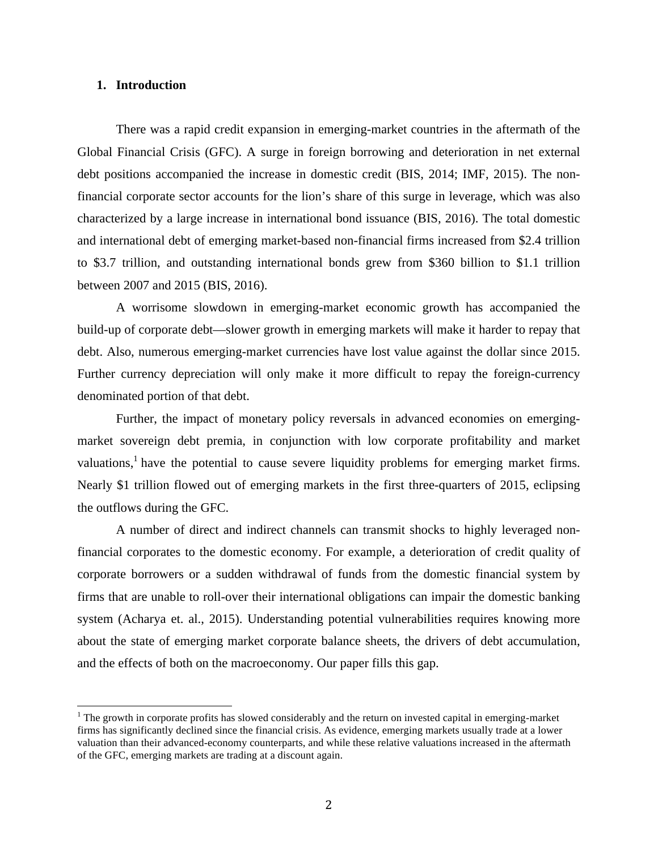#### **1. Introduction**

There was a rapid credit expansion in emerging-market countries in the aftermath of the Global Financial Crisis (GFC). A surge in foreign borrowing and deterioration in net external debt positions accompanied the increase in domestic credit (BIS, 2014; IMF, 2015). The nonfinancial corporate sector accounts for the lion's share of this surge in leverage, which was also characterized by a large increase in international bond issuance (BIS, 2016). The total domestic and international debt of emerging market-based non-financial firms increased from \$2.4 trillion to \$3.7 trillion, and outstanding international bonds grew from \$360 billion to \$1.1 trillion between 2007 and 2015 (BIS, 2016).

A worrisome slowdown in emerging-market economic growth has accompanied the build-up of corporate debt—slower growth in emerging markets will make it harder to repay that debt. Also, numerous emerging-market currencies have lost value against the dollar since 2015. Further currency depreciation will only make it more difficult to repay the foreign-currency denominated portion of that debt.

Further, the impact of monetary policy reversals in advanced economies on emergingmarket sovereign debt premia, in conjunction with low corporate profitability and market valuations,<sup>1</sup> have the potential to cause severe liquidity problems for emerging market firms. Nearly \$1 trillion flowed out of emerging markets in the first three-quarters of 2015, eclipsing the outflows during the GFC.

A number of direct and indirect channels can transmit shocks to highly leveraged nonfinancial corporates to the domestic economy. For example, a deterioration of credit quality of corporate borrowers or a sudden withdrawal of funds from the domestic financial system by firms that are unable to roll-over their international obligations can impair the domestic banking system (Acharya et. al., 2015). Understanding potential vulnerabilities requires knowing more about the state of emerging market corporate balance sheets, the drivers of debt accumulation, and the effects of both on the macroeconomy. Our paper fills this gap.

<sup>&</sup>lt;sup>1</sup> The growth in corporate profits has slowed considerably and the return on invested capital in emerging-market firms has significantly declined since the financial crisis. As evidence, emerging markets usually trade at a lower valuation than their advanced-economy counterparts, and while these relative valuations increased in the aftermath of the GFC, emerging markets are trading at a discount again.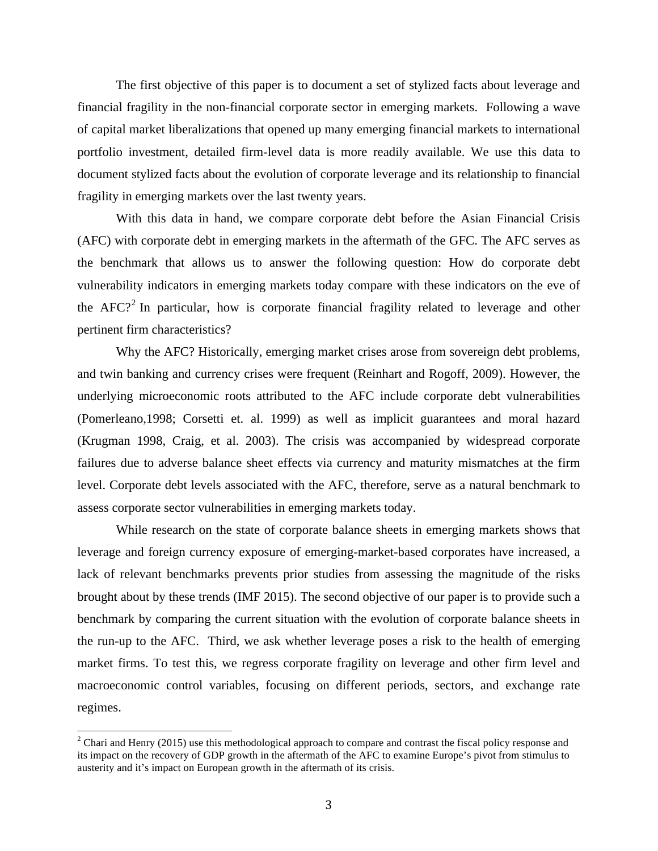The first objective of this paper is to document a set of stylized facts about leverage and financial fragility in the non-financial corporate sector in emerging markets. Following a wave of capital market liberalizations that opened up many emerging financial markets to international portfolio investment, detailed firm-level data is more readily available. We use this data to document stylized facts about the evolution of corporate leverage and its relationship to financial fragility in emerging markets over the last twenty years.

With this data in hand, we compare corporate debt before the Asian Financial Crisis (AFC) with corporate debt in emerging markets in the aftermath of the GFC. The AFC serves as the benchmark that allows us to answer the following question: How do corporate debt vulnerability indicators in emerging markets today compare with these indicators on the eve of the AFC?<sup>2</sup> In particular, how is corporate financial fragility related to leverage and other pertinent firm characteristics?

Why the AFC? Historically, emerging market crises arose from sovereign debt problems, and twin banking and currency crises were frequent (Reinhart and Rogoff, 2009). However, the underlying microeconomic roots attributed to the AFC include corporate debt vulnerabilities (Pomerleano,1998; Corsetti et. al. 1999) as well as implicit guarantees and moral hazard (Krugman 1998, Craig, et al. 2003). The crisis was accompanied by widespread corporate failures due to adverse balance sheet effects via currency and maturity mismatches at the firm level. Corporate debt levels associated with the AFC, therefore, serve as a natural benchmark to assess corporate sector vulnerabilities in emerging markets today.

While research on the state of corporate balance sheets in emerging markets shows that leverage and foreign currency exposure of emerging-market-based corporates have increased, a lack of relevant benchmarks prevents prior studies from assessing the magnitude of the risks brought about by these trends (IMF 2015). The second objective of our paper is to provide such a benchmark by comparing the current situation with the evolution of corporate balance sheets in the run-up to the AFC. Third, we ask whether leverage poses a risk to the health of emerging market firms. To test this, we regress corporate fragility on leverage and other firm level and macroeconomic control variables, focusing on different periods, sectors, and exchange rate regimes.

 $2$  Chari and Henry (2015) use this methodological approach to compare and contrast the fiscal policy response and its impact on the recovery of GDP growth in the aftermath of the AFC to examine Europe's pivot from stimulus to austerity and it's impact on European growth in the aftermath of its crisis.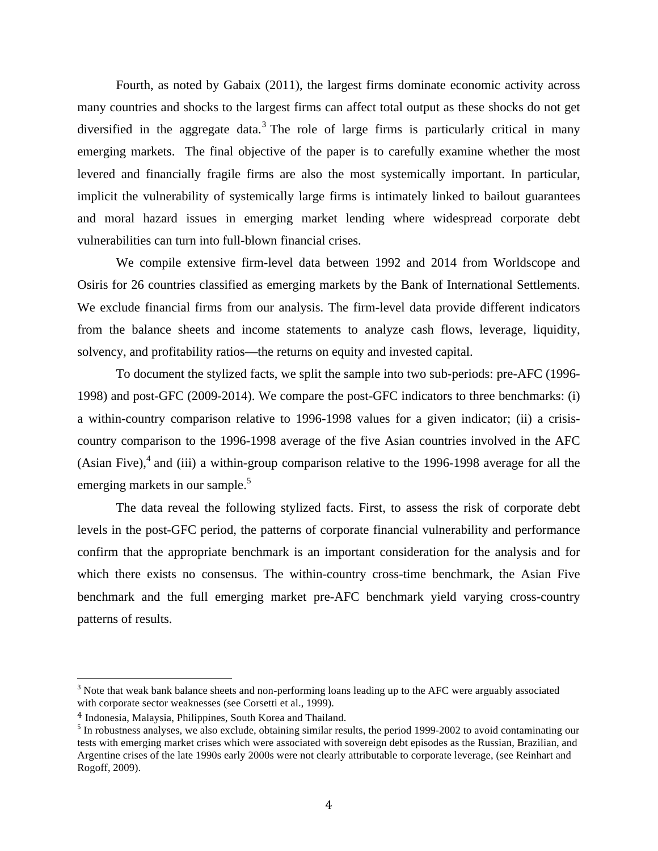Fourth, as noted by Gabaix (2011), the largest firms dominate economic activity across many countries and shocks to the largest firms can affect total output as these shocks do not get diversified in the aggregate data.<sup>3</sup> The role of large firms is particularly critical in many emerging markets. The final objective of the paper is to carefully examine whether the most levered and financially fragile firms are also the most systemically important. In particular, implicit the vulnerability of systemically large firms is intimately linked to bailout guarantees and moral hazard issues in emerging market lending where widespread corporate debt vulnerabilities can turn into full-blown financial crises.

We compile extensive firm-level data between 1992 and 2014 from Worldscope and Osiris for 26 countries classified as emerging markets by the Bank of International Settlements. We exclude financial firms from our analysis. The firm-level data provide different indicators from the balance sheets and income statements to analyze cash flows, leverage, liquidity, solvency, and profitability ratios—the returns on equity and invested capital.

To document the stylized facts, we split the sample into two sub-periods: pre-AFC (1996- 1998) and post-GFC (2009-2014). We compare the post-GFC indicators to three benchmarks: (i) a within-country comparison relative to 1996-1998 values for a given indicator; (ii) a crisiscountry comparison to the 1996-1998 average of the five Asian countries involved in the AFC (Asian Five), $4$  and (iii) a within-group comparison relative to the 1996-1998 average for all the emerging markets in our sample.<sup>5</sup>

The data reveal the following stylized facts. First, to assess the risk of corporate debt levels in the post-GFC period, the patterns of corporate financial vulnerability and performance confirm that the appropriate benchmark is an important consideration for the analysis and for which there exists no consensus. The within-country cross-time benchmark, the Asian Five benchmark and the full emerging market pre-AFC benchmark yield varying cross-country patterns of results.

<sup>&</sup>lt;sup>3</sup> Note that weak bank balance sheets and non-performing loans leading up to the AFC were arguably associated with corporate sector weaknesses (see Corsetti et al., 1999).

<sup>4</sup> Indonesia, Malaysia, Philippines, South Korea and Thailand.

 $<sup>5</sup>$  In robustness analyses, we also exclude, obtaining similar results, the period 1999-2002 to avoid contaminating our</sup> tests with emerging market crises which were associated with sovereign debt episodes as the Russian, Brazilian, and Argentine crises of the late 1990s early 2000s were not clearly attributable to corporate leverage, (see Reinhart and Rogoff, 2009).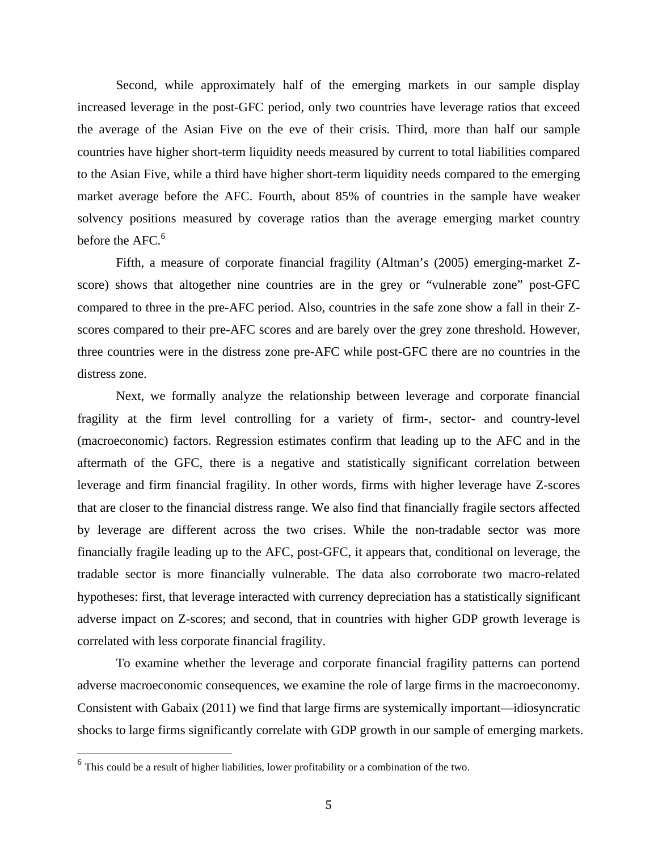Second, while approximately half of the emerging markets in our sample display increased leverage in the post-GFC period, only two countries have leverage ratios that exceed the average of the Asian Five on the eve of their crisis. Third, more than half our sample countries have higher short-term liquidity needs measured by current to total liabilities compared to the Asian Five, while a third have higher short-term liquidity needs compared to the emerging market average before the AFC. Fourth, about 85% of countries in the sample have weaker solvency positions measured by coverage ratios than the average emerging market country before the AFC.<sup>6</sup>

Fifth, a measure of corporate financial fragility (Altman's (2005) emerging-market Zscore) shows that altogether nine countries are in the grey or "vulnerable zone" post-GFC compared to three in the pre-AFC period. Also, countries in the safe zone show a fall in their Zscores compared to their pre-AFC scores and are barely over the grey zone threshold. However, three countries were in the distress zone pre-AFC while post-GFC there are no countries in the distress zone.

Next, we formally analyze the relationship between leverage and corporate financial fragility at the firm level controlling for a variety of firm-, sector- and country-level (macroeconomic) factors. Regression estimates confirm that leading up to the AFC and in the aftermath of the GFC, there is a negative and statistically significant correlation between leverage and firm financial fragility. In other words, firms with higher leverage have Z-scores that are closer to the financial distress range. We also find that financially fragile sectors affected by leverage are different across the two crises. While the non-tradable sector was more financially fragile leading up to the AFC, post-GFC, it appears that, conditional on leverage, the tradable sector is more financially vulnerable. The data also corroborate two macro-related hypotheses: first, that leverage interacted with currency depreciation has a statistically significant adverse impact on Z-scores; and second, that in countries with higher GDP growth leverage is correlated with less corporate financial fragility.

To examine whether the leverage and corporate financial fragility patterns can portend adverse macroeconomic consequences, we examine the role of large firms in the macroeconomy. Consistent with Gabaix (2011) we find that large firms are systemically important—idiosyncratic shocks to large firms significantly correlate with GDP growth in our sample of emerging markets.

 $6$  This could be a result of higher liabilities, lower profitability or a combination of the two.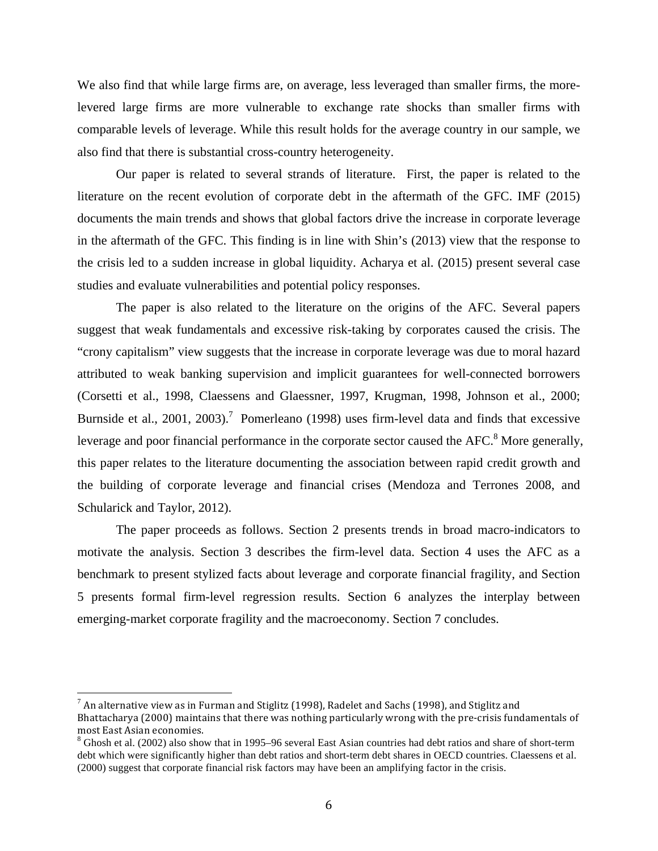We also find that while large firms are, on average, less leveraged than smaller firms, the morelevered large firms are more vulnerable to exchange rate shocks than smaller firms with comparable levels of leverage. While this result holds for the average country in our sample, we also find that there is substantial cross-country heterogeneity.

Our paper is related to several strands of literature. First, the paper is related to the literature on the recent evolution of corporate debt in the aftermath of the GFC. IMF (2015) documents the main trends and shows that global factors drive the increase in corporate leverage in the aftermath of the GFC. This finding is in line with Shin's (2013) view that the response to the crisis led to a sudden increase in global liquidity. Acharya et al. (2015) present several case studies and evaluate vulnerabilities and potential policy responses.

The paper is also related to the literature on the origins of the AFC. Several papers suggest that weak fundamentals and excessive risk-taking by corporates caused the crisis. The "crony capitalism" view suggests that the increase in corporate leverage was due to moral hazard attributed to weak banking supervision and implicit guarantees for well-connected borrowers (Corsetti et al., 1998, Claessens and Glaessner, 1997, Krugman, 1998, Johnson et al., 2000; Burnside et al., 2001, 2003).<sup>7</sup> Pomerleano (1998) uses firm-level data and finds that excessive leverage and poor financial performance in the corporate sector caused the  $AFC$ .<sup>8</sup> More generally, this paper relates to the literature documenting the association between rapid credit growth and the building of corporate leverage and financial crises (Mendoza and Terrones 2008, and Schularick and Taylor, 2012).

The paper proceeds as follows. Section 2 presents trends in broad macro-indicators to motivate the analysis. Section 3 describes the firm-level data. Section 4 uses the AFC as a benchmark to present stylized facts about leverage and corporate financial fragility, and Section 5 presents formal firm-level regression results. Section 6 analyzes the interplay between emerging-market corporate fragility and the macroeconomy. Section 7 concludes.

 

 $^7$  An alternative view as in Furman and Stiglitz (1998), Radelet and Sachs (1998), and Stiglitz and Bhattacharya (2000) maintains that there was nothing particularly wrong with the pre-crisis fundamentals of most East Asian economies.

 $8$  Ghosh et al. (2002) also show that in 1995–96 several East Asian countries had debt ratios and share of short-term debt which were significantly higher than debt ratios and short-term debt shares in OECD countries. Claessens et al. (2000) suggest that corporate financial risk factors may have been an amplifying factor in the crisis.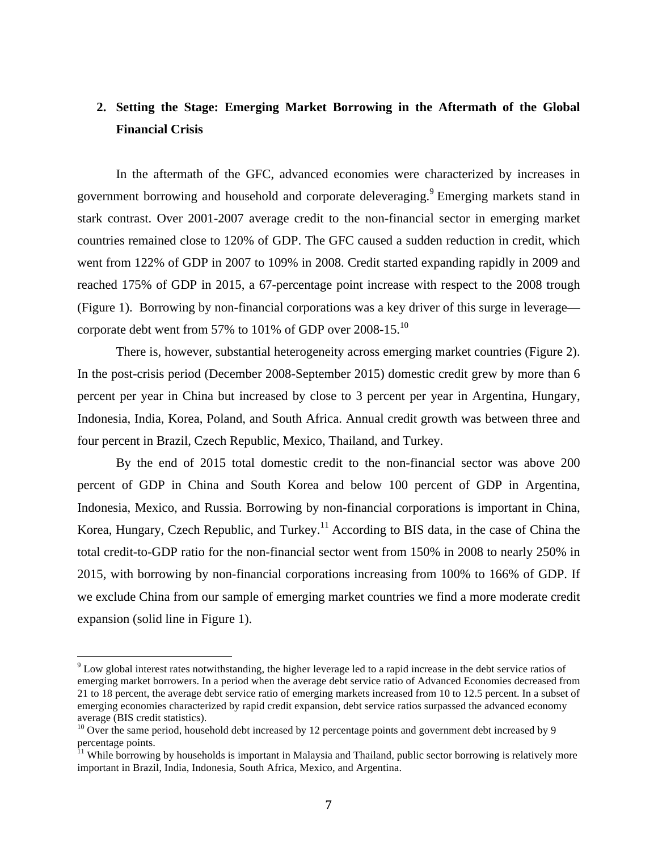# **2. Setting the Stage: Emerging Market Borrowing in the Aftermath of the Global Financial Crisis**

In the aftermath of the GFC, advanced economies were characterized by increases in government borrowing and household and corporate deleveraging.<sup>9</sup> Emerging markets stand in stark contrast. Over 2001-2007 average credit to the non-financial sector in emerging market countries remained close to 120% of GDP. The GFC caused a sudden reduction in credit, which went from 122% of GDP in 2007 to 109% in 2008. Credit started expanding rapidly in 2009 and reached 175% of GDP in 2015, a 67-percentage point increase with respect to the 2008 trough (Figure 1). Borrowing by non-financial corporations was a key driver of this surge in leverage corporate debt went from 57% to 101% of GDP over  $2008-15$ .<sup>10</sup>

There is, however, substantial heterogeneity across emerging market countries (Figure 2). In the post-crisis period (December 2008-September 2015) domestic credit grew by more than 6 percent per year in China but increased by close to 3 percent per year in Argentina, Hungary, Indonesia, India, Korea, Poland, and South Africa. Annual credit growth was between three and four percent in Brazil, Czech Republic, Mexico, Thailand, and Turkey.

By the end of 2015 total domestic credit to the non-financial sector was above 200 percent of GDP in China and South Korea and below 100 percent of GDP in Argentina, Indonesia, Mexico, and Russia. Borrowing by non-financial corporations is important in China, Korea, Hungary, Czech Republic, and Turkey.<sup>11</sup> According to BIS data, in the case of China the total credit-to-GDP ratio for the non-financial sector went from 150% in 2008 to nearly 250% in 2015, with borrowing by non-financial corporations increasing from 100% to 166% of GDP. If we exclude China from our sample of emerging market countries we find a more moderate credit expansion (solid line in Figure 1).

 $9$  Low global interest rates notwithstanding, the higher leverage led to a rapid increase in the debt service ratios of emerging market borrowers. In a period when the average debt service ratio of Advanced Economies decreased from 21 to 18 percent, the average debt service ratio of emerging markets increased from 10 to 12.5 percent. In a subset of emerging economies characterized by rapid credit expansion, debt service ratios surpassed the advanced economy average (BIS credit statistics).

<sup>&</sup>lt;sup>10</sup> Over the same period, household debt increased by 12 percentage points and government debt increased by 9 percentage points.

<sup>&</sup>lt;sup>11</sup> While borrowing by households is important in Malaysia and Thailand, public sector borrowing is relatively more important in Brazil, India, Indonesia, South Africa, Mexico, and Argentina.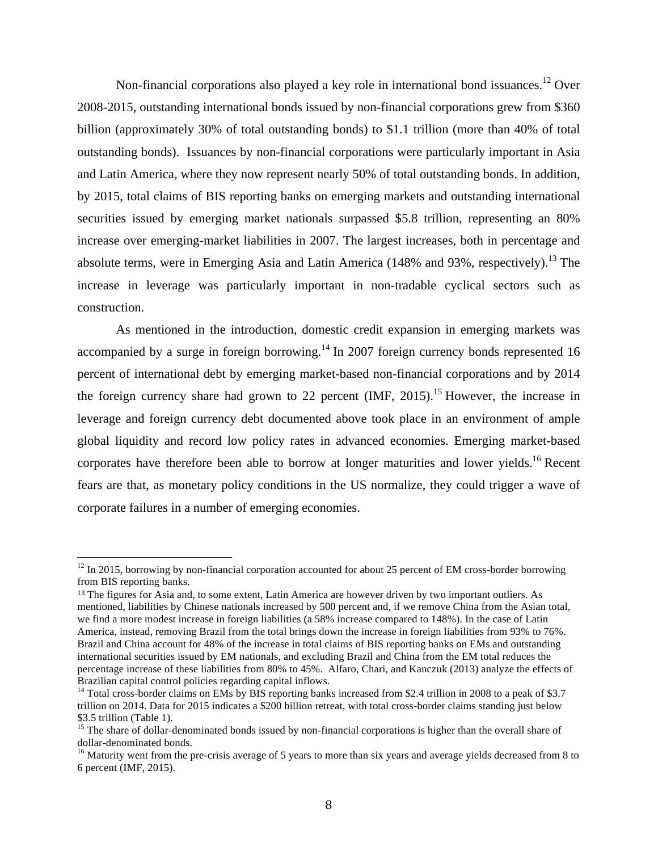Non-financial corporations also played a key role in international bond issuances.<sup>12</sup> Over 2008-2015, outstanding international bonds issued by non-financial corporations grew from \$360 billion (approximately 30% of total outstanding bonds) to \$1.1 trillion (more than 40% of total outstanding bonds). Issuances by non-financial corporations were particularly important in Asia and Latin America, where they now represent nearly 50% of total outstanding bonds. In addition, by 2015, total claims of BIS reporting banks on emerging markets and outstanding international securities issued by emerging market nationals surpassed \$5.8 trillion, representing an 80% increase over emerging-market liabilities in 2007. The largest increases, both in percentage and absolute terms, were in Emerging Asia and Latin America (148% and 93%, respectively).<sup>13</sup> The increase in leverage was particularly important in non-tradable cyclical sectors such as construction.

As mentioned in the introduction, domestic credit expansion in emerging markets was accompanied by a surge in foreign borrowing.<sup>14</sup> In 2007 foreign currency bonds represented 16 percent of international debt by emerging market-based non-financial corporations and by 2014 the foreign currency share had grown to 22 percent  $(MF, 2015)$ .<sup>15</sup> However, the increase in leverage and foreign currency debt documented above took place in an environment of ample global liquidity and record low policy rates in advanced economies. Emerging market-based corporates have therefore been able to borrow at longer maturities and lower yields.<sup>16</sup> Recent fears are that, as monetary policy conditions in the US normalize, they could trigger a wave of corporate failures in a number of emerging economies.

 $12$  In 2015, borrowing by non-financial corporation accounted for about 25 percent of EM cross-border borrowing from BIS reporting banks.

<sup>&</sup>lt;sup>13</sup> The figures for Asia and, to some extent, Latin America are however driven by two important outliers. As mentioned, liabilities by Chinese nationals increased by 500 percent and, if we remove China from the Asian total, we find a more modest increase in foreign liabilities (a 58% increase compared to 148%). In the case of Latin America, instead, removing Brazil from the total brings down the increase in foreign liabilities from 93% to 76%. Brazil and China account for 48% of the increase in total claims of BIS reporting banks on EMs and outstanding international securities issued by EM nationals, and excluding Brazil and China from the EM total reduces the percentage increase of these liabilities from 80% to 45%. Alfaro, Chari, and Kanczuk (2013) analyze the effects of Brazilian capital control policies regarding capital inflows.<br><sup>14</sup> Total cross-border claims on EMs by BIS reporting banks increased from \$2.4 trillion in 2008 to a peak of \$3.7

trillion on 2014. Data for 2015 indicates a \$200 billion retreat, with total cross-border claims standing just below

<sup>\$3.5</sup> trillion (Table 1).<br><sup>15</sup> The share of dollar-denominated bonds issued by non-financial corporations is higher than the overall share of<br>dollar-denominated bonds.

 $16$  Maturity went from the pre-crisis average of 5 years to more than six years and average yields decreased from 8 to 6 percent (IMF, 2015).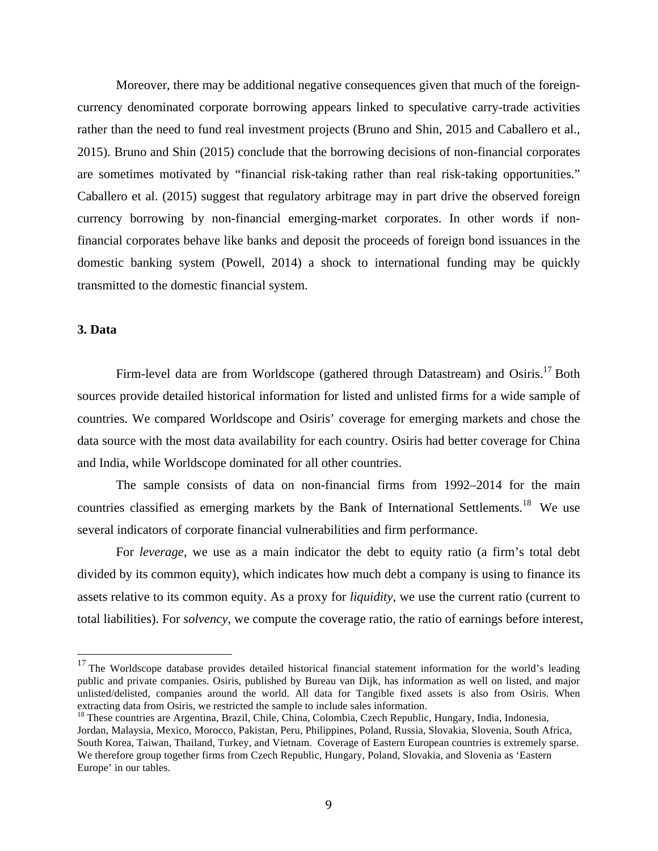Moreover, there may be additional negative consequences given that much of the foreigncurrency denominated corporate borrowing appears linked to speculative carry-trade activities rather than the need to fund real investment projects (Bruno and Shin, 2015 and Caballero et al., 2015). Bruno and Shin (2015) conclude that the borrowing decisions of non-financial corporates are sometimes motivated by "financial risk-taking rather than real risk-taking opportunities." Caballero et al. (2015) suggest that regulatory arbitrage may in part drive the observed foreign currency borrowing by non-financial emerging-market corporates. In other words if nonfinancial corporates behave like banks and deposit the proceeds of foreign bond issuances in the domestic banking system (Powell, 2014) a shock to international funding may be quickly transmitted to the domestic financial system.

#### **3. Data**

Firm-level data are from Worldscope (gathered through Datastream) and Osiris.<sup>17</sup> Both sources provide detailed historical information for listed and unlisted firms for a wide sample of countries. We compared Worldscope and Osiris' coverage for emerging markets and chose the data source with the most data availability for each country. Osiris had better coverage for China and India, while Worldscope dominated for all other countries.

The sample consists of data on non-financial firms from 1992–2014 for the main countries classified as emerging markets by the Bank of International Settlements.<sup>18</sup> We use several indicators of corporate financial vulnerabilities and firm performance.

For *leverage*, we use as a main indicator the debt to equity ratio (a firm's total debt divided by its common equity), which indicates how much debt a company is using to finance its assets relative to its common equity. As a proxy for *liquidity*, we use the current ratio (current to total liabilities). For *solvency*, we compute the coverage ratio, the ratio of earnings before interest,

<sup>&</sup>lt;sup>17</sup> The Worldscope database provides detailed historical financial statement information for the world's leading public and private companies. Osiris, published by Bureau van Dijk, has information as well on listed, and major unlisted/delisted, companies around the world. All data for Tangible fixed assets is also from Osiris. When extracting data from Osiris, we restricted the sample to include sales information.

 $^{18}$  These countries are Argentina, Brazil, Chile, China, Colombia, Czech Republic, Hungary, India, Indonesia, Jordan, Malaysia, Mexico, Morocco, Pakistan, Peru, Philippines, Poland, Russia, Slovakia, Slovenia, South Africa, South Korea, Taiwan, Thailand, Turkey, and Vietnam. Coverage of Eastern European countries is extremely sparse. We therefore group together firms from Czech Republic, Hungary, Poland, Slovakia, and Slovenia as 'Eastern Europe' in our tables.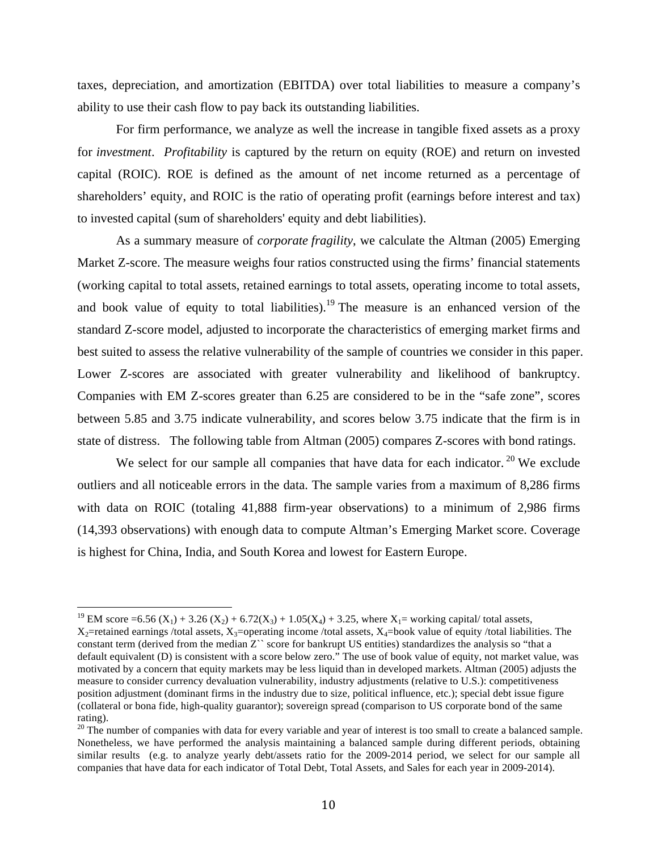taxes, depreciation, and amortization (EBITDA) over total liabilities to measure a company's ability to use their cash flow to pay back its outstanding liabilities.

For firm performance, we analyze as well the increase in tangible fixed assets as a proxy for *investment*. *Profitability* is captured by the return on equity (ROE) and return on invested capital (ROIC). ROE is defined as the amount of net income returned as a percentage of shareholders' equity, and ROIC is the ratio of operating profit (earnings before interest and tax) to invested capital (sum of shareholders' equity and debt liabilities).

As a summary measure of *corporate fragility*, we calculate the Altman (2005) Emerging Market Z-score. The measure weighs four ratios constructed using the firms' financial statements (working capital to total assets, retained earnings to total assets, operating income to total assets, and book value of equity to total liabilities).<sup>19</sup> The measure is an enhanced version of the standard Z-score model, adjusted to incorporate the characteristics of emerging market firms and best suited to assess the relative vulnerability of the sample of countries we consider in this paper. Lower Z-scores are associated with greater vulnerability and likelihood of bankruptcy. Companies with EM Z-scores greater than 6.25 are considered to be in the "safe zone", scores between 5.85 and 3.75 indicate vulnerability, and scores below 3.75 indicate that the firm is in state of distress. The following table from Altman (2005) compares Z-scores with bond ratings.

We select for our sample all companies that have data for each indicator.<sup>20</sup> We exclude outliers and all noticeable errors in the data. The sample varies from a maximum of 8,286 firms with data on ROIC (totaling 41,888 firm-year observations) to a minimum of 2,986 firms (14,393 observations) with enough data to compute Altman's Emerging Market score. Coverage is highest for China, India, and South Korea and lowest for Eastern Europe.

<sup>&</sup>lt;sup>19</sup> EM score =6.56 (X<sub>1</sub>) + 3.26 (X<sub>2</sub>) + 6.72(X<sub>3</sub>) + 1.05(X<sub>4</sub>) + 3.25, where X<sub>1</sub>= working capital/ total assets,  $X_2$ =retained earnings /total assets,  $X_3$ =operating income /total assets,  $X_4$ =book value of equity /total liabilities. The constant term (derived from the median Z`` score for bankrupt US entities) standardizes the analysis so "that a default equivalent (D) is consistent with a score below zero." The use of book value of equity, not market value, was motivated by a concern that equity markets may be less liquid than in developed markets. Altman (2005) adjusts the measure to consider currency devaluation vulnerability, industry adjustments (relative to U.S.): competitiveness position adjustment (dominant firms in the industry due to size, political influence, etc.); special debt issue figure (collateral or bona fide, high-quality guarantor); sovereign spread (comparison to US corporate bond of the same rating).

 $20$  The number of companies with data for every variable and year of interest is too small to create a balanced sample. Nonetheless, we have performed the analysis maintaining a balanced sample during different periods, obtaining similar results (e.g. to analyze yearly debt/assets ratio for the 2009-2014 period, we select for our sample all companies that have data for each indicator of Total Debt, Total Assets, and Sales for each year in 2009-2014).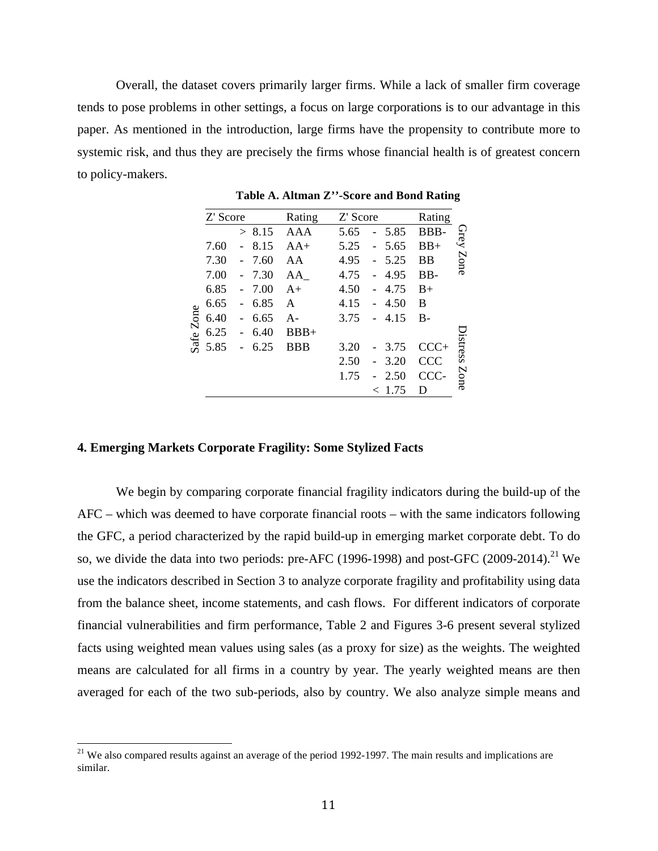Overall, the dataset covers primarily larger firms. While a lack of smaller firm coverage tends to pose problems in other settings, a focus on large corporations is to our advantage in this paper. As mentioned in the introduction, large firms have the propensity to contribute more to systemic risk, and thus they are precisely the firms whose financial health is of greatest concern to policy-makers.

|           | Z' Score |        |      | Rating     | Z' Score |                                  | Rating |          |
|-----------|----------|--------|------|------------|----------|----------------------------------|--------|----------|
|           |          | $\geq$ | 8.15 | AAA        | 5.65     | 5.85                             | BBB-   | Grey     |
|           | 7.60     |        | 8.15 | $AA+$      | 5.25     | 5.65<br>$\overline{\phantom{0}}$ | $BB+$  |          |
|           | 7.30     |        | 7.60 | AA         | 4.95     | 5.25                             | BB     | Zone     |
|           | 7.00     |        | 7.30 | AA         | 4.75     | 4.95                             | BB-    |          |
|           | 6.85     |        | 7.00 | $A+$       | 4.50     | 4.75                             | $B+$   |          |
|           | 6.65     |        | 6.85 | A          | 4.15     | 4.50                             | B      |          |
|           | 6.40     |        | 6.65 | $A -$      | 3.75     | 4.15<br>$\overline{a}$           | $B -$  |          |
| Safe Zone | 6.25     |        | 6.40 | $BBB+$     |          |                                  |        |          |
|           | 5.85     |        | 6.25 | <b>BBB</b> | 3.20     | 3.75                             | $CCC+$ | Distress |
|           |          |        |      |            | 2.50     | 3.20                             | CCC    |          |
|           |          |        |      |            | 1.75     | 2.50                             | CCC-   | Zone     |
|           |          |        |      |            |          | 1.75                             | D      |          |
|           |          |        |      |            |          |                                  |        |          |

**Table A. Altman Z''-Score and Bond Rating**

#### **4. Emerging Markets Corporate Fragility: Some Stylized Facts**

We begin by comparing corporate financial fragility indicators during the build-up of the AFC – which was deemed to have corporate financial roots – with the same indicators following the GFC, a period characterized by the rapid build-up in emerging market corporate debt. To do so, we divide the data into two periods: pre-AFC (1996-1998) and post-GFC (2009-2014).<sup>21</sup> We use the indicators described in Section 3 to analyze corporate fragility and profitability using data from the balance sheet, income statements, and cash flows. For different indicators of corporate financial vulnerabilities and firm performance, Table 2 and Figures 3-6 present several stylized facts using weighted mean values using sales (as a proxy for size) as the weights. The weighted means are calculated for all firms in a country by year. The yearly weighted means are then averaged for each of the two sub-periods, also by country. We also analyze simple means and

 $21$  We also compared results against an average of the period 1992-1997. The main results and implications are similar.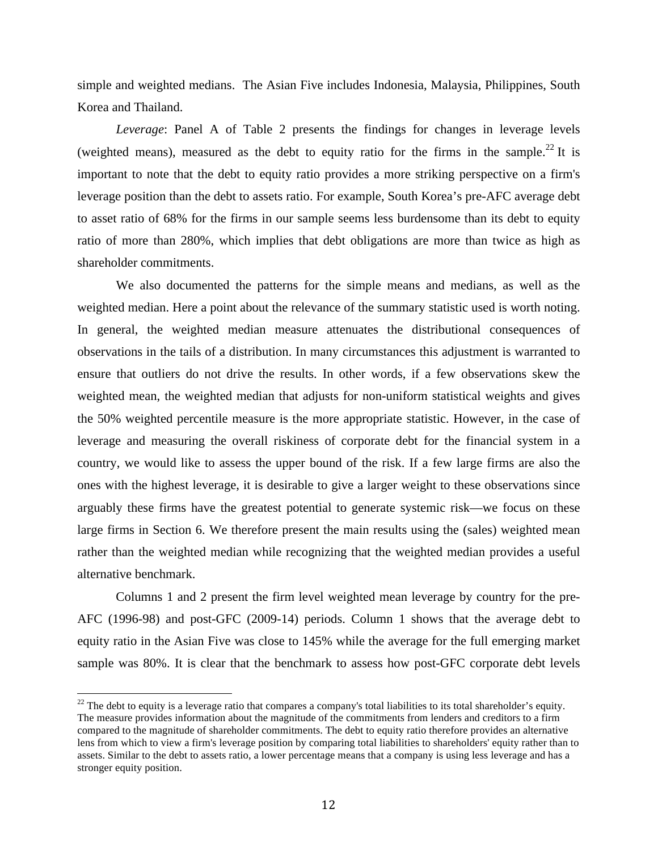simple and weighted medians. The Asian Five includes Indonesia, Malaysia, Philippines, South Korea and Thailand.

*Leverage*: Panel A of Table 2 presents the findings for changes in leverage levels (weighted means), measured as the debt to equity ratio for the firms in the sample.<sup>22</sup> It is important to note that the debt to equity ratio provides a more striking perspective on a firm's leverage position than the debt to assets ratio. For example, South Korea's pre-AFC average debt to asset ratio of 68% for the firms in our sample seems less burdensome than its debt to equity ratio of more than 280%, which implies that debt obligations are more than twice as high as shareholder commitments.

We also documented the patterns for the simple means and medians, as well as the weighted median. Here a point about the relevance of the summary statistic used is worth noting. In general, the weighted median measure attenuates the distributional consequences of observations in the tails of a distribution. In many circumstances this adjustment is warranted to ensure that outliers do not drive the results. In other words, if a few observations skew the weighted mean, the weighted median that adjusts for non-uniform statistical weights and gives the 50% weighted percentile measure is the more appropriate statistic. However, in the case of leverage and measuring the overall riskiness of corporate debt for the financial system in a country, we would like to assess the upper bound of the risk. If a few large firms are also the ones with the highest leverage, it is desirable to give a larger weight to these observations since arguably these firms have the greatest potential to generate systemic risk—we focus on these large firms in Section 6. We therefore present the main results using the (sales) weighted mean rather than the weighted median while recognizing that the weighted median provides a useful alternative benchmark.

Columns 1 and 2 present the firm level weighted mean leverage by country for the pre-AFC (1996-98) and post-GFC (2009-14) periods. Column 1 shows that the average debt to equity ratio in the Asian Five was close to 145% while the average for the full emerging market sample was 80%. It is clear that the benchmark to assess how post-GFC corporate debt levels

 $^{22}$  The debt to equity is a leverage ratio that compares a company's total liabilities to its total shareholder's equity. The measure provides information about the magnitude of the commitments from lenders and creditors to a firm compared to the magnitude of shareholder commitments. The debt to equity ratio therefore provides an alternative lens from which to view a firm's leverage position by comparing total liabilities to shareholders' equity rather than to assets. Similar to the debt to assets ratio, a lower percentage means that a company is using less leverage and has a stronger equity position.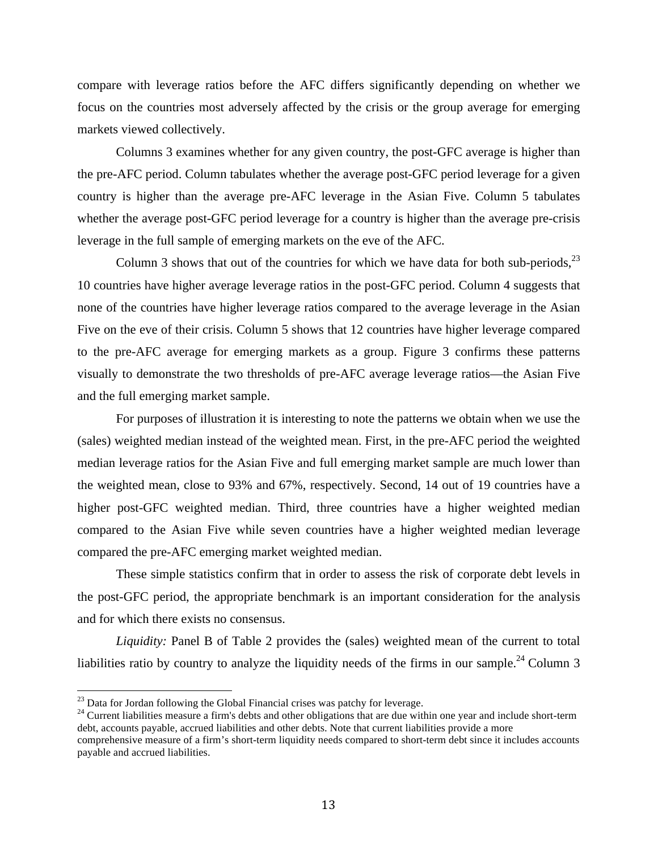compare with leverage ratios before the AFC differs significantly depending on whether we focus on the countries most adversely affected by the crisis or the group average for emerging markets viewed collectively.

Columns 3 examines whether for any given country, the post-GFC average is higher than the pre-AFC period. Column tabulates whether the average post-GFC period leverage for a given country is higher than the average pre-AFC leverage in the Asian Five. Column 5 tabulates whether the average post-GFC period leverage for a country is higher than the average pre-crisis leverage in the full sample of emerging markets on the eve of the AFC.

Column 3 shows that out of the countries for which we have data for both sub-periods, $^{23}$ 10 countries have higher average leverage ratios in the post-GFC period. Column 4 suggests that none of the countries have higher leverage ratios compared to the average leverage in the Asian Five on the eve of their crisis. Column 5 shows that 12 countries have higher leverage compared to the pre-AFC average for emerging markets as a group. Figure 3 confirms these patterns visually to demonstrate the two thresholds of pre-AFC average leverage ratios—the Asian Five and the full emerging market sample.

For purposes of illustration it is interesting to note the patterns we obtain when we use the (sales) weighted median instead of the weighted mean. First, in the pre-AFC period the weighted median leverage ratios for the Asian Five and full emerging market sample are much lower than the weighted mean, close to 93% and 67%, respectively. Second, 14 out of 19 countries have a higher post-GFC weighted median. Third, three countries have a higher weighted median compared to the Asian Five while seven countries have a higher weighted median leverage compared the pre-AFC emerging market weighted median.

These simple statistics confirm that in order to assess the risk of corporate debt levels in the post-GFC period, the appropriate benchmark is an important consideration for the analysis and for which there exists no consensus.

*Liquidity:* Panel B of Table 2 provides the (sales) weighted mean of the current to total liabilities ratio by country to analyze the liquidity needs of the firms in our sample.<sup>24</sup> Column 3

<sup>23</sup> Data for Jordan following the Global Financial crises was patchy for leverage.<br><sup>24</sup> Current liabilities measure a firm's debts and other obligations that are due within one year and include short-term debt, accounts payable, accrued liabilities and other debts. Note that current liabilities provide a more

comprehensive measure of a firm's short-term liquidity needs compared to short-term debt since it includes accounts payable and accrued liabilities.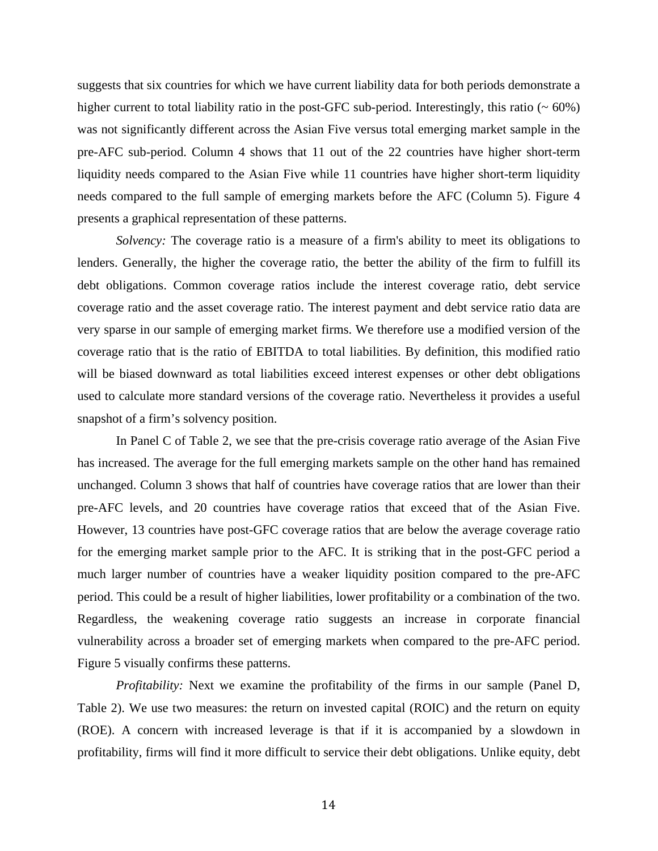suggests that six countries for which we have current liability data for both periods demonstrate a higher current to total liability ratio in the post-GFC sub-period. Interestingly, this ratio  $($   $\sim 60\%)$ was not significantly different across the Asian Five versus total emerging market sample in the pre-AFC sub-period. Column 4 shows that 11 out of the 22 countries have higher short-term liquidity needs compared to the Asian Five while 11 countries have higher short-term liquidity needs compared to the full sample of emerging markets before the AFC (Column 5). Figure 4 presents a graphical representation of these patterns.

*Solvency:* The coverage ratio is a measure of a firm's ability to meet its obligations to lenders. Generally, the higher the coverage ratio, the better the ability of the firm to fulfill its debt obligations. Common coverage ratios include the interest coverage ratio, debt service coverage ratio and the asset coverage ratio. The interest payment and debt service ratio data are very sparse in our sample of emerging market firms. We therefore use a modified version of the coverage ratio that is the ratio of EBITDA to total liabilities. By definition, this modified ratio will be biased downward as total liabilities exceed interest expenses or other debt obligations used to calculate more standard versions of the coverage ratio. Nevertheless it provides a useful snapshot of a firm's solvency position.

In Panel C of Table 2, we see that the pre-crisis coverage ratio average of the Asian Five has increased. The average for the full emerging markets sample on the other hand has remained unchanged. Column 3 shows that half of countries have coverage ratios that are lower than their pre-AFC levels, and 20 countries have coverage ratios that exceed that of the Asian Five. However, 13 countries have post-GFC coverage ratios that are below the average coverage ratio for the emerging market sample prior to the AFC. It is striking that in the post-GFC period a much larger number of countries have a weaker liquidity position compared to the pre-AFC period. This could be a result of higher liabilities, lower profitability or a combination of the two. Regardless, the weakening coverage ratio suggests an increase in corporate financial vulnerability across a broader set of emerging markets when compared to the pre-AFC period. Figure 5 visually confirms these patterns.

*Profitability:* Next we examine the profitability of the firms in our sample (Panel D, Table 2). We use two measures: the return on invested capital (ROIC) and the return on equity (ROE). A concern with increased leverage is that if it is accompanied by a slowdown in profitability, firms will find it more difficult to service their debt obligations. Unlike equity, debt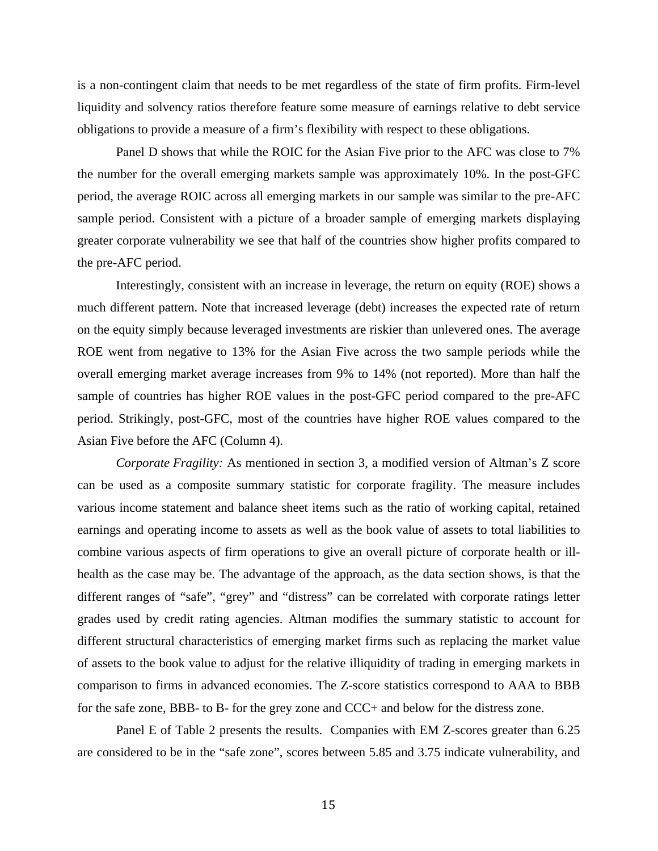is a non-contingent claim that needs to be met regardless of the state of firm profits. Firm-level liquidity and solvency ratios therefore feature some measure of earnings relative to debt service obligations to provide a measure of a firm's flexibility with respect to these obligations.

Panel D shows that while the ROIC for the Asian Five prior to the AFC was close to 7% the number for the overall emerging markets sample was approximately 10%. In the post-GFC period, the average ROIC across all emerging markets in our sample was similar to the pre-AFC sample period. Consistent with a picture of a broader sample of emerging markets displaying greater corporate vulnerability we see that half of the countries show higher profits compared to the pre-AFC period.

Interestingly, consistent with an increase in leverage, the return on equity (ROE) shows a much different pattern. Note that increased leverage (debt) increases the expected rate of return on the equity simply because leveraged investments are riskier than unlevered ones. The average ROE went from negative to 13% for the Asian Five across the two sample periods while the overall emerging market average increases from 9% to 14% (not reported). More than half the sample of countries has higher ROE values in the post-GFC period compared to the pre-AFC period. Strikingly, post-GFC, most of the countries have higher ROE values compared to the Asian Five before the AFC (Column 4).

*Corporate Fragility:* As mentioned in section 3, a modified version of Altman's Z score can be used as a composite summary statistic for corporate fragility. The measure includes various income statement and balance sheet items such as the ratio of working capital, retained earnings and operating income to assets as well as the book value of assets to total liabilities to combine various aspects of firm operations to give an overall picture of corporate health or illhealth as the case may be. The advantage of the approach, as the data section shows, is that the different ranges of "safe", "grey" and "distress" can be correlated with corporate ratings letter grades used by credit rating agencies. Altman modifies the summary statistic to account for different structural characteristics of emerging market firms such as replacing the market value of assets to the book value to adjust for the relative illiquidity of trading in emerging markets in comparison to firms in advanced economies. The Z-score statistics correspond to AAA to BBB for the safe zone, BBB- to B- for the grey zone and CCC+ and below for the distress zone.

Panel E of Table 2 presents the results. Companies with EM Z-scores greater than 6.25 are considered to be in the "safe zone", scores between 5.85 and 3.75 indicate vulnerability, and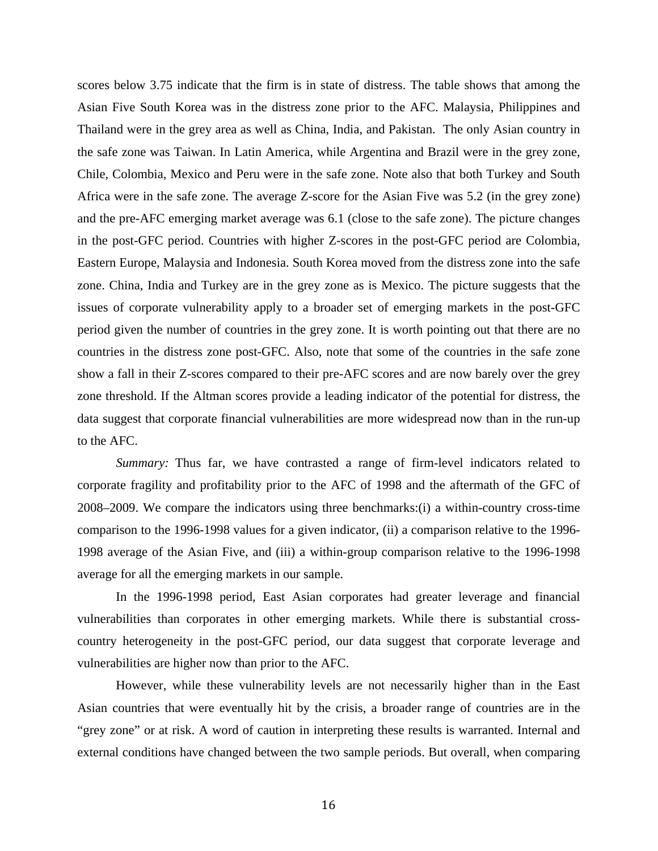scores below 3.75 indicate that the firm is in state of distress. The table shows that among the Asian Five South Korea was in the distress zone prior to the AFC. Malaysia, Philippines and Thailand were in the grey area as well as China, India, and Pakistan. The only Asian country in the safe zone was Taiwan. In Latin America, while Argentina and Brazil were in the grey zone, Chile, Colombia, Mexico and Peru were in the safe zone. Note also that both Turkey and South Africa were in the safe zone. The average Z-score for the Asian Five was 5.2 (in the grey zone) and the pre-AFC emerging market average was 6.1 (close to the safe zone). The picture changes in the post-GFC period. Countries with higher Z-scores in the post-GFC period are Colombia, Eastern Europe, Malaysia and Indonesia. South Korea moved from the distress zone into the safe zone. China, India and Turkey are in the grey zone as is Mexico. The picture suggests that the issues of corporate vulnerability apply to a broader set of emerging markets in the post-GFC period given the number of countries in the grey zone. It is worth pointing out that there are no countries in the distress zone post-GFC. Also, note that some of the countries in the safe zone show a fall in their Z-scores compared to their pre-AFC scores and are now barely over the grey zone threshold. If the Altman scores provide a leading indicator of the potential for distress, the data suggest that corporate financial vulnerabilities are more widespread now than in the run-up to the AFC.

*Summary:* Thus far, we have contrasted a range of firm-level indicators related to corporate fragility and profitability prior to the AFC of 1998 and the aftermath of the GFC of 2008–2009. We compare the indicators using three benchmarks:(i) a within-country cross-time comparison to the 1996-1998 values for a given indicator, (ii) a comparison relative to the 1996- 1998 average of the Asian Five, and (iii) a within-group comparison relative to the 1996-1998 average for all the emerging markets in our sample.

In the 1996-1998 period, East Asian corporates had greater leverage and financial vulnerabilities than corporates in other emerging markets. While there is substantial crosscountry heterogeneity in the post-GFC period, our data suggest that corporate leverage and vulnerabilities are higher now than prior to the AFC.

However, while these vulnerability levels are not necessarily higher than in the East Asian countries that were eventually hit by the crisis, a broader range of countries are in the "grey zone" or at risk. A word of caution in interpreting these results is warranted. Internal and external conditions have changed between the two sample periods. But overall, when comparing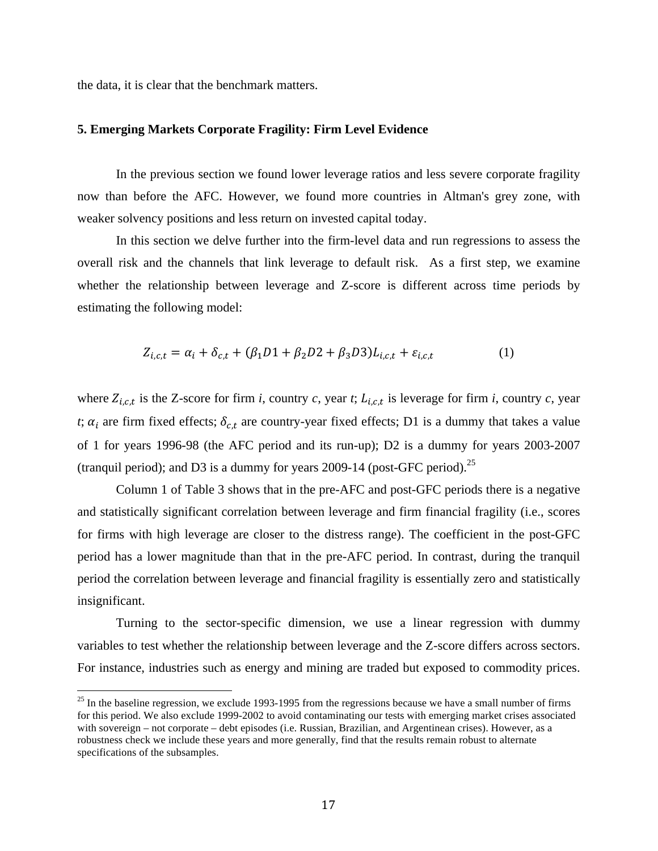the data, it is clear that the benchmark matters.

#### **5. Emerging Markets Corporate Fragility: Firm Level Evidence**

In the previous section we found lower leverage ratios and less severe corporate fragility now than before the AFC. However, we found more countries in Altman's grey zone, with weaker solvency positions and less return on invested capital today.

In this section we delve further into the firm-level data and run regressions to assess the overall risk and the channels that link leverage to default risk. As a first step, we examine whether the relationship between leverage and Z-score is different across time periods by estimating the following model:

$$
Z_{i,c,t} = \alpha_i + \delta_{c,t} + (\beta_1 D1 + \beta_2 D2 + \beta_3 D3) L_{i,c,t} + \varepsilon_{i,c,t}
$$
 (1)

where  $Z_{i,c,t}$  is the Z-score for firm *i*, country *c*, year *t*;  $L_{i,c,t}$  is leverage for firm *i*, country *c*, year *t*;  $\alpha_i$  are firm fixed effects;  $\delta_{c,t}$  are country-year fixed effects; D1 is a dummy that takes a value of 1 for years 1996-98 (the AFC period and its run-up); D2 is a dummy for years 2003-2007 (tranquil period); and D3 is a dummy for years  $2009-14$  (post-GFC period).<sup>25</sup>

Column 1 of Table 3 shows that in the pre-AFC and post-GFC periods there is a negative and statistically significant correlation between leverage and firm financial fragility (i.e., scores for firms with high leverage are closer to the distress range). The coefficient in the post-GFC period has a lower magnitude than that in the pre-AFC period. In contrast, during the tranquil period the correlation between leverage and financial fragility is essentially zero and statistically insignificant.

Turning to the sector-specific dimension, we use a linear regression with dummy variables to test whether the relationship between leverage and the Z-score differs across sectors. For instance, industries such as energy and mining are traded but exposed to commodity prices.

 $^{25}$  In the baseline regression, we exclude 1993-1995 from the regressions because we have a small number of firms for this period. We also exclude 1999-2002 to avoid contaminating our tests with emerging market crises associated with sovereign – not corporate – debt episodes (i.e. Russian, Brazilian, and Argentinean crises). However, as a robustness check we include these years and more generally, find that the results remain robust to alternate specifications of the subsamples.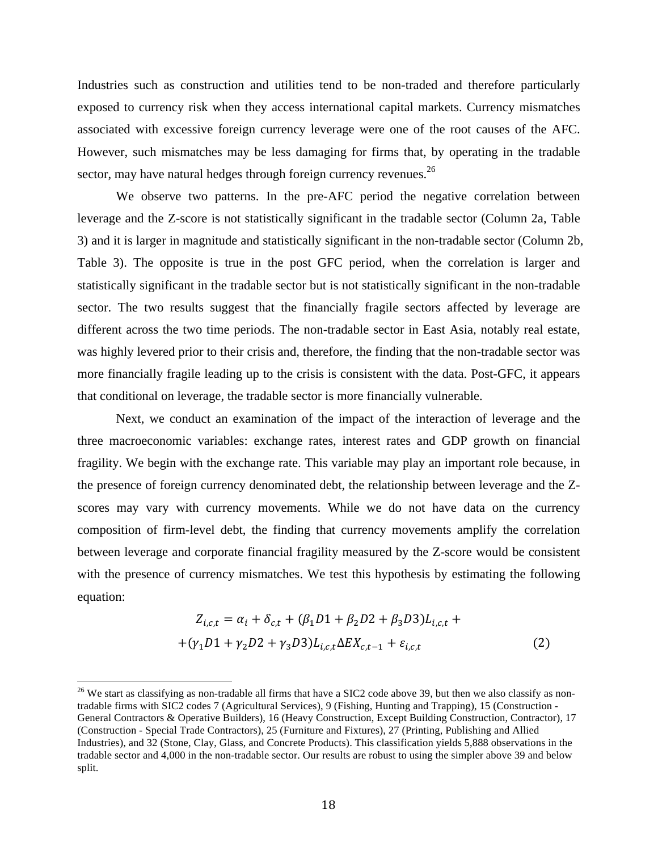Industries such as construction and utilities tend to be non-traded and therefore particularly exposed to currency risk when they access international capital markets. Currency mismatches associated with excessive foreign currency leverage were one of the root causes of the AFC. However, such mismatches may be less damaging for firms that, by operating in the tradable sector, may have natural hedges through foreign currency revenues. $^{26}$ 

We observe two patterns. In the pre-AFC period the negative correlation between leverage and the Z-score is not statistically significant in the tradable sector (Column 2a, Table 3) and it is larger in magnitude and statistically significant in the non-tradable sector (Column 2b, Table 3). The opposite is true in the post GFC period, when the correlation is larger and statistically significant in the tradable sector but is not statistically significant in the non-tradable sector. The two results suggest that the financially fragile sectors affected by leverage are different across the two time periods. The non-tradable sector in East Asia, notably real estate, was highly levered prior to their crisis and, therefore, the finding that the non-tradable sector was more financially fragile leading up to the crisis is consistent with the data. Post-GFC, it appears that conditional on leverage, the tradable sector is more financially vulnerable.

Next, we conduct an examination of the impact of the interaction of leverage and the three macroeconomic variables: exchange rates, interest rates and GDP growth on financial fragility. We begin with the exchange rate. This variable may play an important role because, in the presence of foreign currency denominated debt, the relationship between leverage and the Zscores may vary with currency movements. While we do not have data on the currency composition of firm-level debt, the finding that currency movements amplify the correlation between leverage and corporate financial fragility measured by the Z-score would be consistent with the presence of currency mismatches. We test this hypothesis by estimating the following equation:

$$
Z_{i,c,t} = \alpha_i + \delta_{c,t} + (\beta_1 D1 + \beta_2 D2 + \beta_3 D3) L_{i,c,t} +
$$
  
+ (\gamma\_1 D1 + \gamma\_2 D2 + \gamma\_3 D3) L\_{i,c,t} \Delta E X\_{c,t-1} + \varepsilon\_{i,c,t} (2)

 $26$  We start as classifying as non-tradable all firms that have a SIC2 code above 39, but then we also classify as nontradable firms with SIC2 codes 7 (Agricultural Services), 9 (Fishing, Hunting and Trapping), 15 (Construction - General Contractors & Operative Builders), 16 (Heavy Construction, Except Building Construction, Contractor), 17 (Construction - Special Trade Contractors), 25 (Furniture and Fixtures), 27 (Printing, Publishing and Allied Industries), and 32 (Stone, Clay, Glass, and Concrete Products). This classification yields 5,888 observations in the tradable sector and 4,000 in the non-tradable sector. Our results are robust to using the simpler above 39 and below split.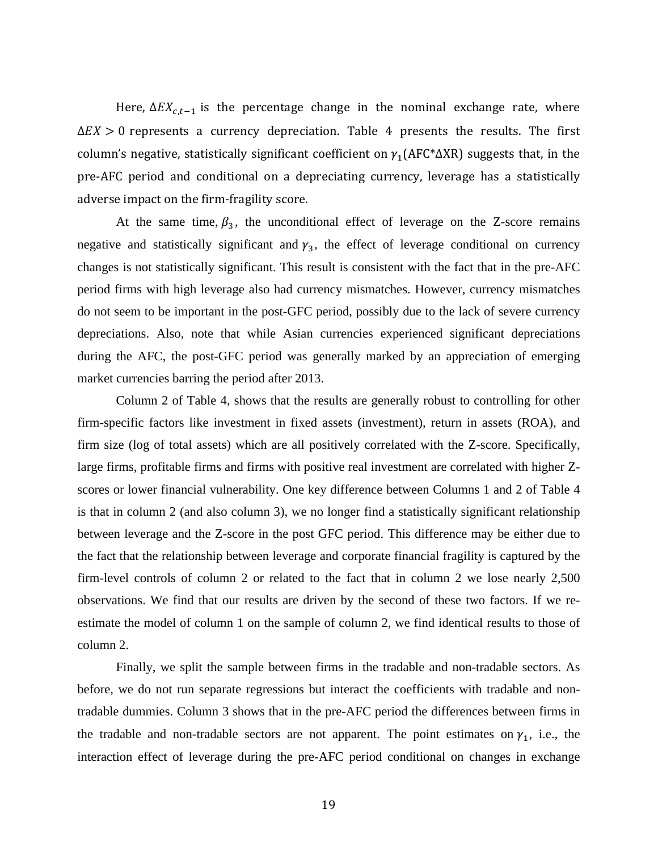Here,  $\Delta E X_{c,t-1}$  is the percentage change in the nominal exchange rate, where  $\Delta EX > 0$  represents a currency depreciation. Table 4 presents the results. The first column's negative, statistically significant coefficient on  $\gamma_1(AFC^*\Delta XR)$  suggests that, in the pre-AFC period and conditional on a depreciating currency, leverage has a statistically adverse impact on the firm-fragility score.

At the same time,  $\beta_3$ , the unconditional effect of leverage on the Z-score remains negative and statistically significant and  $y_3$ , the effect of leverage conditional on currency changes is not statistically significant. This result is consistent with the fact that in the pre-AFC period firms with high leverage also had currency mismatches. However, currency mismatches do not seem to be important in the post-GFC period, possibly due to the lack of severe currency depreciations. Also, note that while Asian currencies experienced significant depreciations during the AFC, the post-GFC period was generally marked by an appreciation of emerging market currencies barring the period after 2013.

Column 2 of Table 4, shows that the results are generally robust to controlling for other firm-specific factors like investment in fixed assets (investment), return in assets (ROA), and firm size (log of total assets) which are all positively correlated with the Z-score. Specifically, large firms, profitable firms and firms with positive real investment are correlated with higher Zscores or lower financial vulnerability. One key difference between Columns 1 and 2 of Table 4 is that in column 2 (and also column 3), we no longer find a statistically significant relationship between leverage and the Z-score in the post GFC period. This difference may be either due to the fact that the relationship between leverage and corporate financial fragility is captured by the firm-level controls of column 2 or related to the fact that in column 2 we lose nearly 2,500 observations. We find that our results are driven by the second of these two factors. If we reestimate the model of column 1 on the sample of column 2, we find identical results to those of column 2.

Finally, we split the sample between firms in the tradable and non-tradable sectors. As before, we do not run separate regressions but interact the coefficients with tradable and nontradable dummies. Column 3 shows that in the pre-AFC period the differences between firms in the tradable and non-tradable sectors are not apparent. The point estimates on  $\gamma_1$ , i.e., the interaction effect of leverage during the pre-AFC period conditional on changes in exchange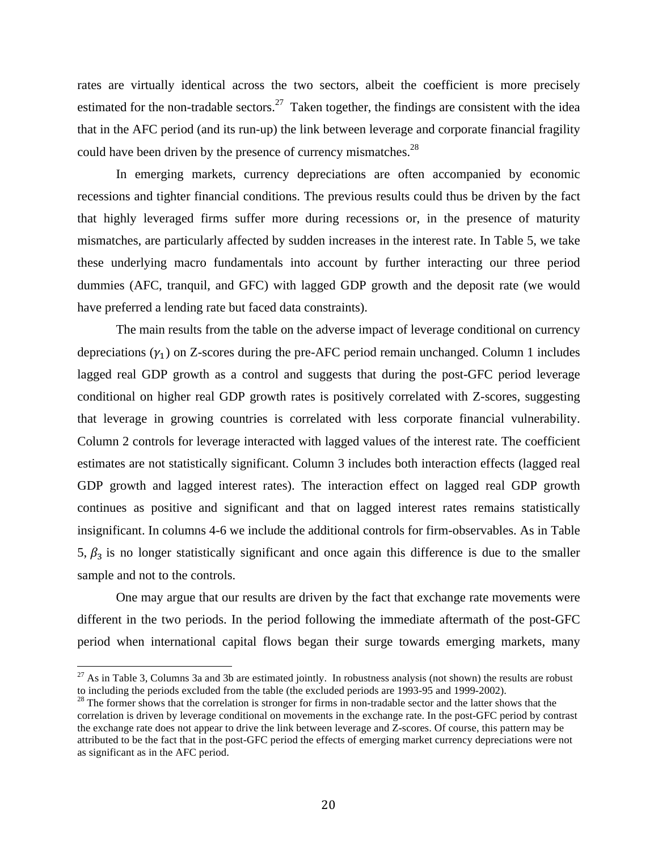rates are virtually identical across the two sectors, albeit the coefficient is more precisely estimated for the non-tradable sectors.<sup>27</sup> Taken together, the findings are consistent with the idea that in the AFC period (and its run-up) the link between leverage and corporate financial fragility could have been driven by the presence of currency mismatches.<sup>28</sup>

In emerging markets, currency depreciations are often accompanied by economic recessions and tighter financial conditions. The previous results could thus be driven by the fact that highly leveraged firms suffer more during recessions or, in the presence of maturity mismatches, are particularly affected by sudden increases in the interest rate. In Table 5, we take these underlying macro fundamentals into account by further interacting our three period dummies (AFC, tranquil, and GFC) with lagged GDP growth and the deposit rate (we would have preferred a lending rate but faced data constraints).

The main results from the table on the adverse impact of leverage conditional on currency depreciations  $(\gamma_1)$  on Z-scores during the pre-AFC period remain unchanged. Column 1 includes lagged real GDP growth as a control and suggests that during the post-GFC period leverage conditional on higher real GDP growth rates is positively correlated with Z-scores, suggesting that leverage in growing countries is correlated with less corporate financial vulnerability. Column 2 controls for leverage interacted with lagged values of the interest rate. The coefficient estimates are not statistically significant. Column 3 includes both interaction effects (lagged real GDP growth and lagged interest rates). The interaction effect on lagged real GDP growth continues as positive and significant and that on lagged interest rates remains statistically insignificant. In columns 4-6 we include the additional controls for firm-observables. As in Table 5,  $\beta_3$  is no longer statistically significant and once again this difference is due to the smaller sample and not to the controls.

One may argue that our results are driven by the fact that exchange rate movements were different in the two periods. In the period following the immediate aftermath of the post-GFC period when international capital flows began their surge towards emerging markets, many

 $^{27}$  As in Table 3, Columns 3a and 3b are estimated jointly. In robustness analysis (not shown) the results are robust to including the periods excluded from the table (the excluded periods are 1993-95 and 1999-2002).<br><sup>28</sup> The former shows that the correlation is stronger for firms in non-tradable sector and the latter shows that the

correlation is driven by leverage conditional on movements in the exchange rate. In the post-GFC period by contrast the exchange rate does not appear to drive the link between leverage and Z-scores. Of course, this pattern may be attributed to be the fact that in the post-GFC period the effects of emerging market currency depreciations were not as significant as in the AFC period.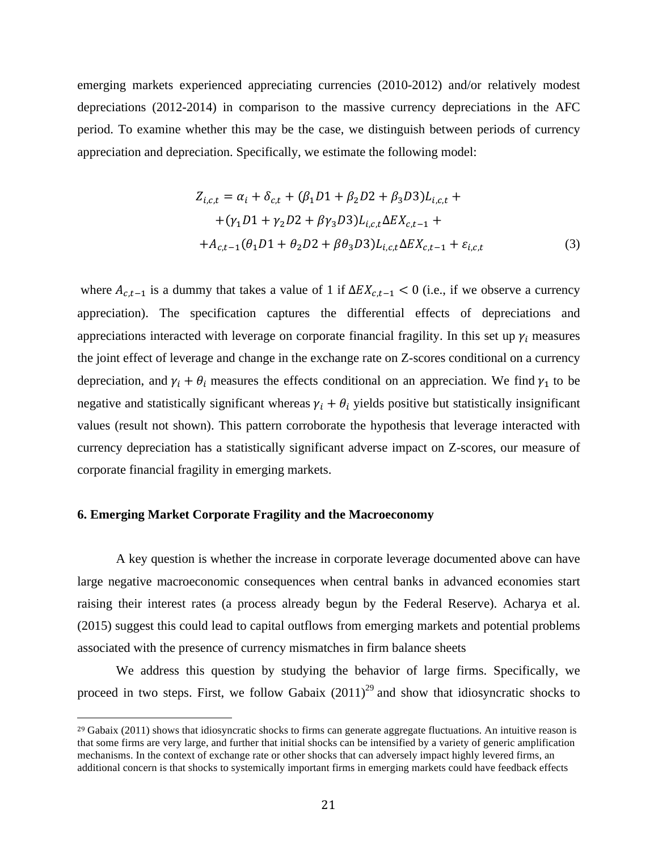emerging markets experienced appreciating currencies (2010-2012) and/or relatively modest depreciations (2012-2014) in comparison to the massive currency depreciations in the AFC period. To examine whether this may be the case, we distinguish between periods of currency appreciation and depreciation. Specifically, we estimate the following model:

$$
Z_{i,c,t} = \alpha_i + \delta_{c,t} + (\beta_1 D1 + \beta_2 D2 + \beta_3 D3)L_{i,c,t} +
$$
  
+ (\gamma\_1 D1 + \gamma\_2 D2 + \beta \gamma\_3 D3)L\_{i,c,t} \Delta E X\_{c,t-1} +  
+ A\_{c,t-1}(\theta\_1 D1 + \theta\_2 D2 + \beta \theta\_3 D3)L\_{i,c,t} \Delta E X\_{c,t-1} + \varepsilon\_{i,c,t} (3)

where  $A_{c,t-1}$  is a dummy that takes a value of 1 if  $\Delta E X_{c,t-1} < 0$  (i.e., if we observe a currency appreciation). The specification captures the differential effects of depreciations and appreciations interacted with leverage on corporate financial fragility. In this set up  $\gamma_i$  measures the joint effect of leverage and change in the exchange rate on Z-scores conditional on a currency depreciation, and  $\gamma_i + \theta_i$  measures the effects conditional on an appreciation. We find  $\gamma_1$  to be negative and statistically significant whereas  $\gamma_i + \theta_i$  yields positive but statistically insignificant values (result not shown). This pattern corroborate the hypothesis that leverage interacted with currency depreciation has a statistically significant adverse impact on Z-scores, our measure of corporate financial fragility in emerging markets.

## **6. Emerging Market Corporate Fragility and the Macroeconomy**

 

A key question is whether the increase in corporate leverage documented above can have large negative macroeconomic consequences when central banks in advanced economies start raising their interest rates (a process already begun by the Federal Reserve). Acharya et al. (2015) suggest this could lead to capital outflows from emerging markets and potential problems associated with the presence of currency mismatches in firm balance sheets

We address this question by studying the behavior of large firms. Specifically, we proceed in two steps. First, we follow Gabaix  $(2011)^{29}$  and show that idiosyncratic shocks to

 $29$  Gabaix (2011) shows that idiosyncratic shocks to firms can generate aggregate fluctuations. An intuitive reason is that some firms are very large, and further that initial shocks can be intensified by a variety of generic amplification mechanisms. In the context of exchange rate or other shocks that can adversely impact highly levered firms, an additional concern is that shocks to systemically important firms in emerging markets could have feedback effects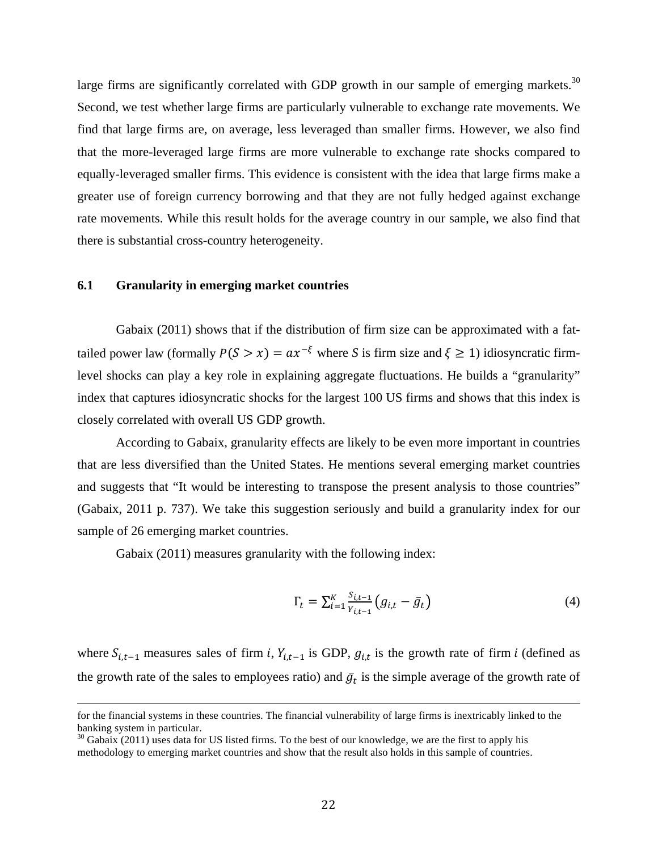large firms are significantly correlated with GDP growth in our sample of emerging markets.<sup>30</sup> Second, we test whether large firms are particularly vulnerable to exchange rate movements. We find that large firms are, on average, less leveraged than smaller firms. However, we also find that the more-leveraged large firms are more vulnerable to exchange rate shocks compared to equally-leveraged smaller firms. This evidence is consistent with the idea that large firms make a greater use of foreign currency borrowing and that they are not fully hedged against exchange rate movements. While this result holds for the average country in our sample, we also find that there is substantial cross-country heterogeneity.

## **6.1 Granularity in emerging market countries**

Gabaix (2011) shows that if the distribution of firm size can be approximated with a fattailed power law (formally  $P(S > x) = ax^{-\xi}$  where *S* is firm size and  $\xi \ge 1$ ) idiosyncratic firmlevel shocks can play a key role in explaining aggregate fluctuations. He builds a "granularity" index that captures idiosyncratic shocks for the largest 100 US firms and shows that this index is closely correlated with overall US GDP growth.

According to Gabaix, granularity effects are likely to be even more important in countries that are less diversified than the United States. He mentions several emerging market countries and suggests that "It would be interesting to transpose the present analysis to those countries" (Gabaix, 2011 p. 737). We take this suggestion seriously and build a granularity index for our sample of 26 emerging market countries.

Gabaix (2011) measures granularity with the following index:

$$
\Gamma_t = \sum_{i=1}^{K} \frac{S_{i,t-1}}{Y_{i,t-1}} \left( g_{i,t} - \bar{g}_t \right)
$$
\n(4)

where  $S_{i,t-1}$  measures sales of firm *i*,  $Y_{i,t-1}$  is GDP,  $g_{i,t}$  is the growth rate of firm *i* (defined as the growth rate of the sales to employees ratio) and  $\bar{g}_t$  is the simple average of the growth rate of

<u> 2002 - Andrea San Andrea San Andrea San Andrea San Andrea San Andrea San Andrea San Andrea San Andrea San An</u>

for the financial systems in these countries. The financial vulnerability of large firms is inextricably linked to the banking system in particular.

 $30$  Gabaix (2011) uses data for US listed firms. To the best of our knowledge, we are the first to apply his methodology to emerging market countries and show that the result also holds in this sample of countries.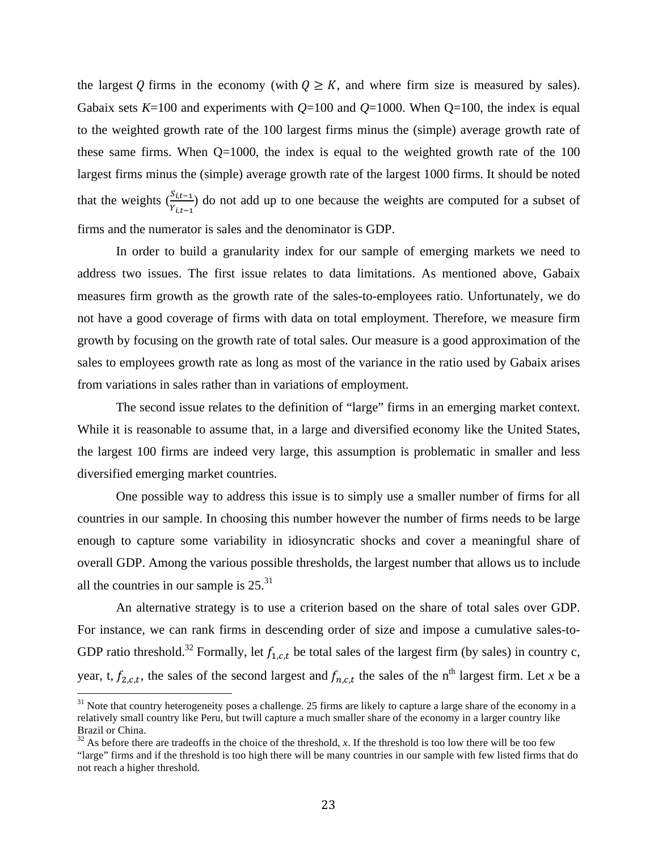the largest Q firms in the economy (with  $Q \geq K$ , and where firm size is measured by sales). Gabaix sets  $K=100$  and experiments with  $Q=100$  and  $Q=1000$ . When  $Q=100$ , the index is equal to the weighted growth rate of the 100 largest firms minus the (simple) average growth rate of these same firms. When  $Q=1000$ , the index is equal to the weighted growth rate of the  $100$ largest firms minus the (simple) average growth rate of the largest 1000 firms. It should be noted that the weights  $\binom{S_{i,t-1}}{Y_{i,t-1}}$  do not add up to one because the weights are computed for a subset of firms and the numerator is sales and the denominator is GDP.

In order to build a granularity index for our sample of emerging markets we need to address two issues. The first issue relates to data limitations. As mentioned above, Gabaix measures firm growth as the growth rate of the sales-to-employees ratio. Unfortunately, we do not have a good coverage of firms with data on total employment. Therefore, we measure firm growth by focusing on the growth rate of total sales. Our measure is a good approximation of the sales to employees growth rate as long as most of the variance in the ratio used by Gabaix arises from variations in sales rather than in variations of employment.

The second issue relates to the definition of "large" firms in an emerging market context. While it is reasonable to assume that, in a large and diversified economy like the United States, the largest 100 firms are indeed very large, this assumption is problematic in smaller and less diversified emerging market countries.

One possible way to address this issue is to simply use a smaller number of firms for all countries in our sample. In choosing this number however the number of firms needs to be large enough to capture some variability in idiosyncratic shocks and cover a meaningful share of overall GDP. Among the various possible thresholds, the largest number that allows us to include all the countries in our sample is  $25.^{31}$ 

An alternative strategy is to use a criterion based on the share of total sales over GDP. For instance, we can rank firms in descending order of size and impose a cumulative sales-to-GDP ratio threshold.<sup>32</sup> Formally, let  $f_{1,c,t}$  be total sales of the largest firm (by sales) in country c, year, t,  $f_{2,c,t}$ , the sales of the second largest and  $f_{n,c,t}$  the sales of the n<sup>th</sup> largest firm. Let *x* be a

 $31$  Note that country heterogeneity poses a challenge. 25 firms are likely to capture a large share of the economy in a relatively small country like Peru, but twill capture a much smaller share of the economy in a larger country like Brazil or China.

 $32$  As before there are tradeoffs in the choice of the threshold, *x*. If the threshold is too low there will be too few "large" firms and if the threshold is too high there will be many countries in our sample with few listed firms that do not reach a higher threshold.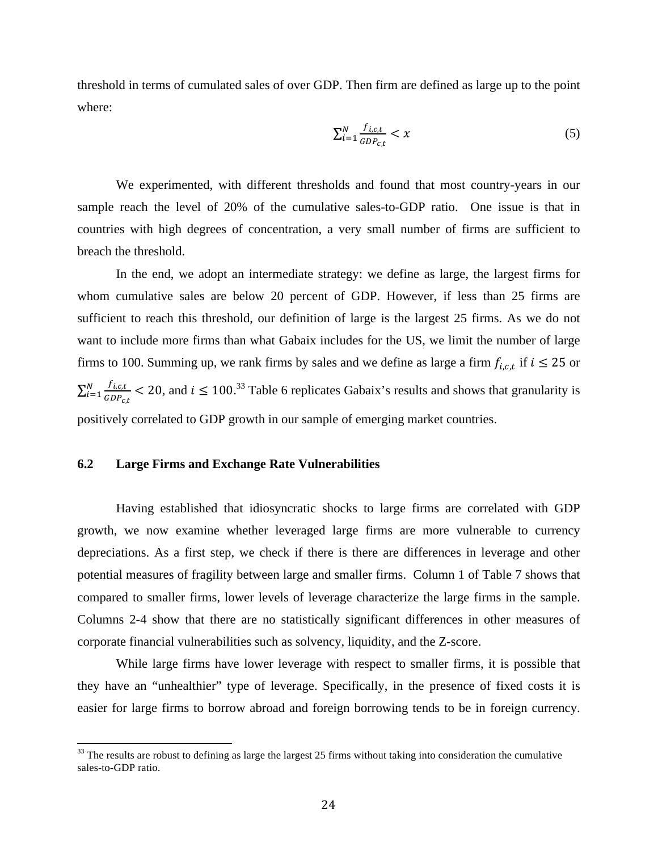threshold in terms of cumulated sales of over GDP. Then firm are defined as large up to the point where:

$$
\sum_{i=1}^{N} \frac{f_{i,c,t}}{GDP_{c,t}} < x \tag{5}
$$

We experimented, with different thresholds and found that most country-years in our sample reach the level of 20% of the cumulative sales-to-GDP ratio. One issue is that in countries with high degrees of concentration, a very small number of firms are sufficient to breach the threshold.

In the end, we adopt an intermediate strategy: we define as large, the largest firms for whom cumulative sales are below 20 percent of GDP. However, if less than 25 firms are sufficient to reach this threshold, our definition of large is the largest 25 firms. As we do not want to include more firms than what Gabaix includes for the US, we limit the number of large firms to 100. Summing up, we rank firms by sales and we define as large a firm  $f_{i,c,t}$  if  $i \le 25$  or  $f_{i,c,t}$  $GDP_{c,t}$  $\frac{N}{(n+1)(R)}$   $\leq 20$ , and  $i \leq 100$ .<sup>33</sup> Table 6 replicates Gabaix's results and shows that granularity is positively correlated to GDP growth in our sample of emerging market countries.

## **6.2 Large Firms and Exchange Rate Vulnerabilities**

Having established that idiosyncratic shocks to large firms are correlated with GDP growth, we now examine whether leveraged large firms are more vulnerable to currency depreciations. As a first step, we check if there is there are differences in leverage and other potential measures of fragility between large and smaller firms. Column 1 of Table 7 shows that compared to smaller firms, lower levels of leverage characterize the large firms in the sample. Columns 2-4 show that there are no statistically significant differences in other measures of corporate financial vulnerabilities such as solvency, liquidity, and the Z-score.

While large firms have lower leverage with respect to smaller firms, it is possible that they have an "unhealthier" type of leverage. Specifically, in the presence of fixed costs it is easier for large firms to borrow abroad and foreign borrowing tends to be in foreign currency.

 $33$  The results are robust to defining as large the largest 25 firms without taking into consideration the cumulative sales-to-GDP ratio.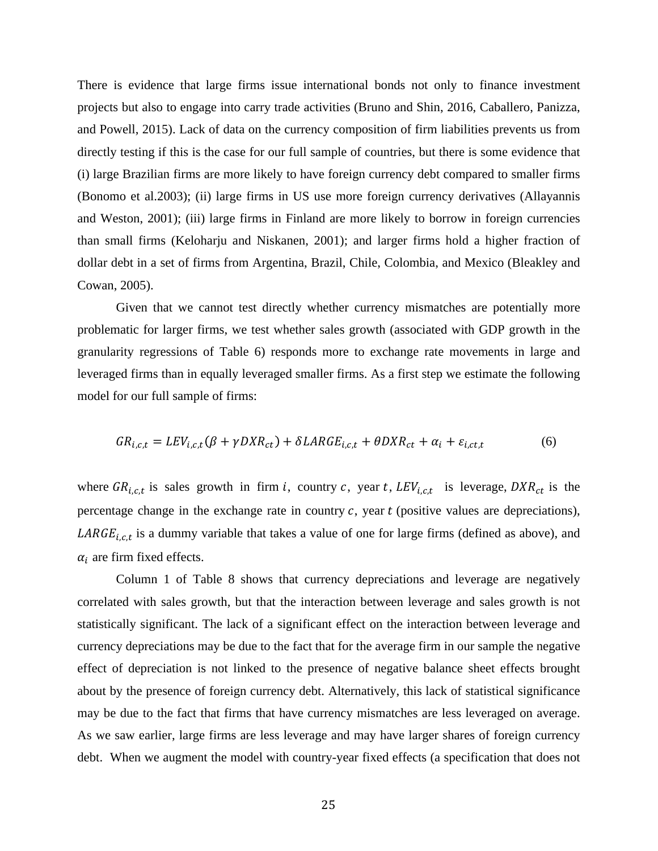There is evidence that large firms issue international bonds not only to finance investment projects but also to engage into carry trade activities (Bruno and Shin, 2016, Caballero, Panizza, and Powell, 2015). Lack of data on the currency composition of firm liabilities prevents us from directly testing if this is the case for our full sample of countries, but there is some evidence that (i) large Brazilian firms are more likely to have foreign currency debt compared to smaller firms (Bonomo et al.2003); (ii) large firms in US use more foreign currency derivatives (Allayannis and Weston, 2001); (iii) large firms in Finland are more likely to borrow in foreign currencies than small firms (Keloharju and Niskanen, 2001); and larger firms hold a higher fraction of dollar debt in a set of firms from Argentina, Brazil, Chile, Colombia, and Mexico (Bleakley and Cowan, 2005).

Given that we cannot test directly whether currency mismatches are potentially more problematic for larger firms, we test whether sales growth (associated with GDP growth in the granularity regressions of Table 6) responds more to exchange rate movements in large and leveraged firms than in equally leveraged smaller firms. As a first step we estimate the following model for our full sample of firms:

$$
GR_{i,c,t} = LEV_{i,c,t}(\beta + \gamma DXR_{ct}) + \delta LARGE_{i,c,t} + \theta DXR_{ct} + \alpha_i + \varepsilon_{i,ct,t}
$$
(6)

where  $GR_{i,c,t}$  is sales growth in firm i, country c, year t,  $LEV_{i,c,t}$  is leverage,  $DXR_{ct}$  is the percentage change in the exchange rate in country  $c$ , year  $t$  (positive values are depreciations),  $LARGE_{i.c.t}$  is a dummy variable that takes a value of one for large firms (defined as above), and  $\alpha_i$  are firm fixed effects.

Column 1 of Table 8 shows that currency depreciations and leverage are negatively correlated with sales growth, but that the interaction between leverage and sales growth is not statistically significant. The lack of a significant effect on the interaction between leverage and currency depreciations may be due to the fact that for the average firm in our sample the negative effect of depreciation is not linked to the presence of negative balance sheet effects brought about by the presence of foreign currency debt. Alternatively, this lack of statistical significance may be due to the fact that firms that have currency mismatches are less leveraged on average. As we saw earlier, large firms are less leverage and may have larger shares of foreign currency debt. When we augment the model with country-year fixed effects (a specification that does not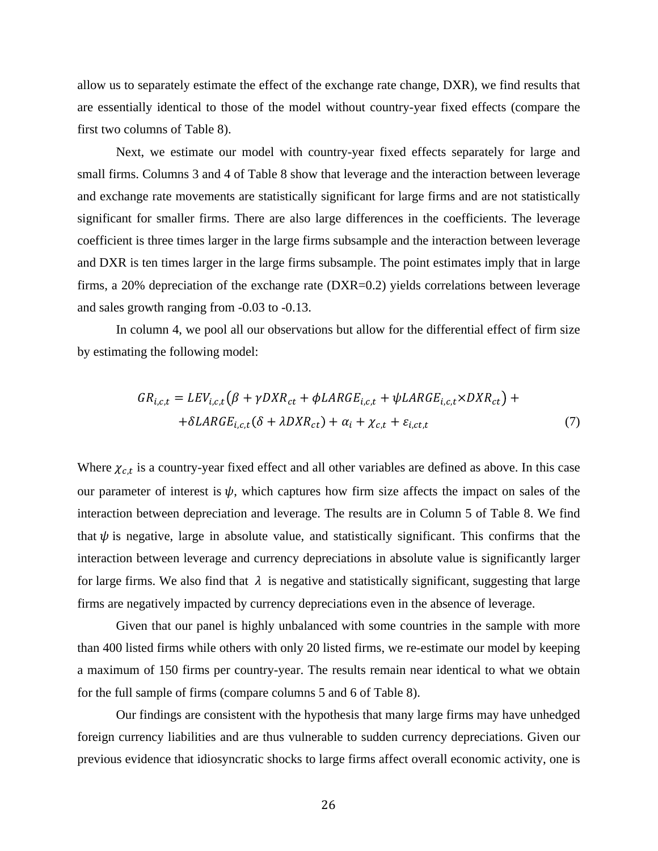allow us to separately estimate the effect of the exchange rate change, DXR), we find results that are essentially identical to those of the model without country-year fixed effects (compare the first two columns of Table 8).

Next, we estimate our model with country-year fixed effects separately for large and small firms. Columns 3 and 4 of Table 8 show that leverage and the interaction between leverage and exchange rate movements are statistically significant for large firms and are not statistically significant for smaller firms. There are also large differences in the coefficients. The leverage coefficient is three times larger in the large firms subsample and the interaction between leverage and DXR is ten times larger in the large firms subsample. The point estimates imply that in large firms, a 20% depreciation of the exchange rate (DXR=0.2) yields correlations between leverage and sales growth ranging from -0.03 to -0.13.

In column 4, we pool all our observations but allow for the differential effect of firm size by estimating the following model:

$$
GR_{i,c,t} = LEV_{i,c,t} \left(\beta + \gamma DXR_{ct} + \phi LARGE_{i,c,t} + \psi LARGE_{i,c,t} \times DXR_{ct}\right) +
$$
  
+
$$
\delta LARGE_{i,c,t} (\delta + \lambda DXR_{ct}) + \alpha_i + \chi_{c,t} + \varepsilon_{i,ct,t}
$$
 (7)

Where  $\chi_{c,t}$  is a country-year fixed effect and all other variables are defined as above. In this case our parameter of interest is  $\psi$ , which captures how firm size affects the impact on sales of the interaction between depreciation and leverage. The results are in Column 5 of Table 8. We find that  $\psi$  is negative, large in absolute value, and statistically significant. This confirms that the interaction between leverage and currency depreciations in absolute value is significantly larger for large firms. We also find that  $\lambda$  is negative and statistically significant, suggesting that large firms are negatively impacted by currency depreciations even in the absence of leverage.

Given that our panel is highly unbalanced with some countries in the sample with more than 400 listed firms while others with only 20 listed firms, we re-estimate our model by keeping a maximum of 150 firms per country-year. The results remain near identical to what we obtain for the full sample of firms (compare columns 5 and 6 of Table 8).

Our findings are consistent with the hypothesis that many large firms may have unhedged foreign currency liabilities and are thus vulnerable to sudden currency depreciations. Given our previous evidence that idiosyncratic shocks to large firms affect overall economic activity, one is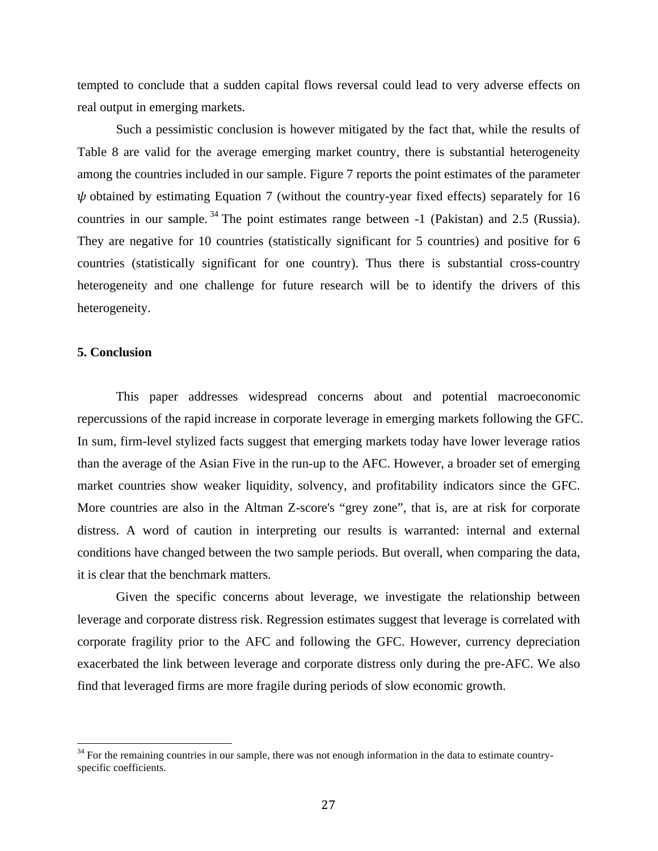tempted to conclude that a sudden capital flows reversal could lead to very adverse effects on real output in emerging markets.

Such a pessimistic conclusion is however mitigated by the fact that, while the results of Table 8 are valid for the average emerging market country, there is substantial heterogeneity among the countries included in our sample. Figure 7 reports the point estimates of the parameter  $\psi$  obtained by estimating Equation 7 (without the country-year fixed effects) separately for 16 countries in our sample.<sup>34</sup> The point estimates range between -1 (Pakistan) and 2.5 (Russia). They are negative for 10 countries (statistically significant for 5 countries) and positive for 6 countries (statistically significant for one country). Thus there is substantial cross-country heterogeneity and one challenge for future research will be to identify the drivers of this heterogeneity.

#### **5. Conclusion**

This paper addresses widespread concerns about and potential macroeconomic repercussions of the rapid increase in corporate leverage in emerging markets following the GFC. In sum, firm-level stylized facts suggest that emerging markets today have lower leverage ratios than the average of the Asian Five in the run-up to the AFC. However, a broader set of emerging market countries show weaker liquidity, solvency, and profitability indicators since the GFC. More countries are also in the Altman Z-score's "grey zone", that is, are at risk for corporate distress. A word of caution in interpreting our results is warranted: internal and external conditions have changed between the two sample periods. But overall, when comparing the data, it is clear that the benchmark matters.

Given the specific concerns about leverage, we investigate the relationship between leverage and corporate distress risk. Regression estimates suggest that leverage is correlated with corporate fragility prior to the AFC and following the GFC. However, currency depreciation exacerbated the link between leverage and corporate distress only during the pre-AFC. We also find that leveraged firms are more fragile during periods of slow economic growth.

 $34$  For the remaining countries in our sample, there was not enough information in the data to estimate countryspecific coefficients.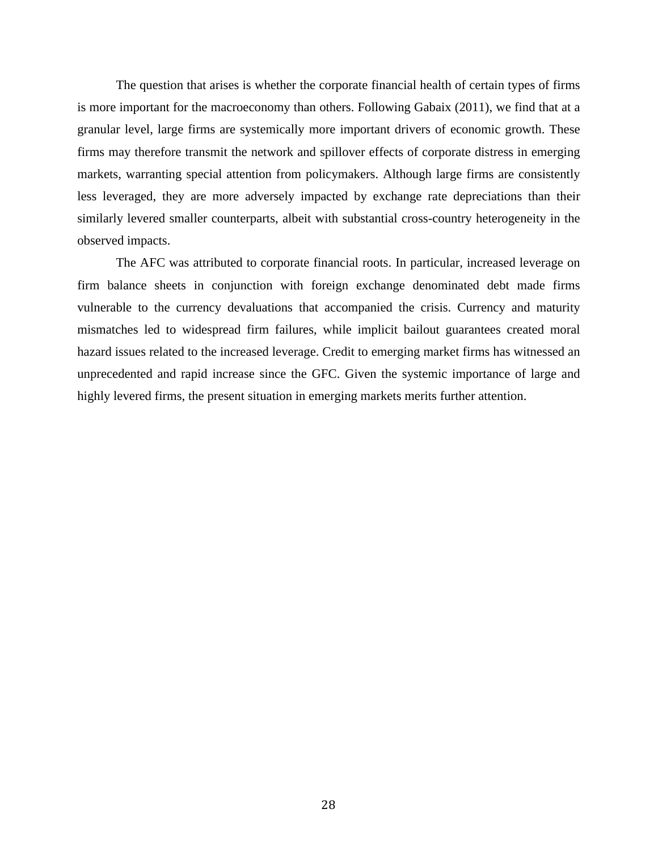The question that arises is whether the corporate financial health of certain types of firms is more important for the macroeconomy than others. Following Gabaix (2011), we find that at a granular level, large firms are systemically more important drivers of economic growth. These firms may therefore transmit the network and spillover effects of corporate distress in emerging markets, warranting special attention from policymakers. Although large firms are consistently less leveraged, they are more adversely impacted by exchange rate depreciations than their similarly levered smaller counterparts, albeit with substantial cross-country heterogeneity in the observed impacts.

The AFC was attributed to corporate financial roots. In particular, increased leverage on firm balance sheets in conjunction with foreign exchange denominated debt made firms vulnerable to the currency devaluations that accompanied the crisis. Currency and maturity mismatches led to widespread firm failures, while implicit bailout guarantees created moral hazard issues related to the increased leverage. Credit to emerging market firms has witnessed an unprecedented and rapid increase since the GFC. Given the systemic importance of large and highly levered firms, the present situation in emerging markets merits further attention.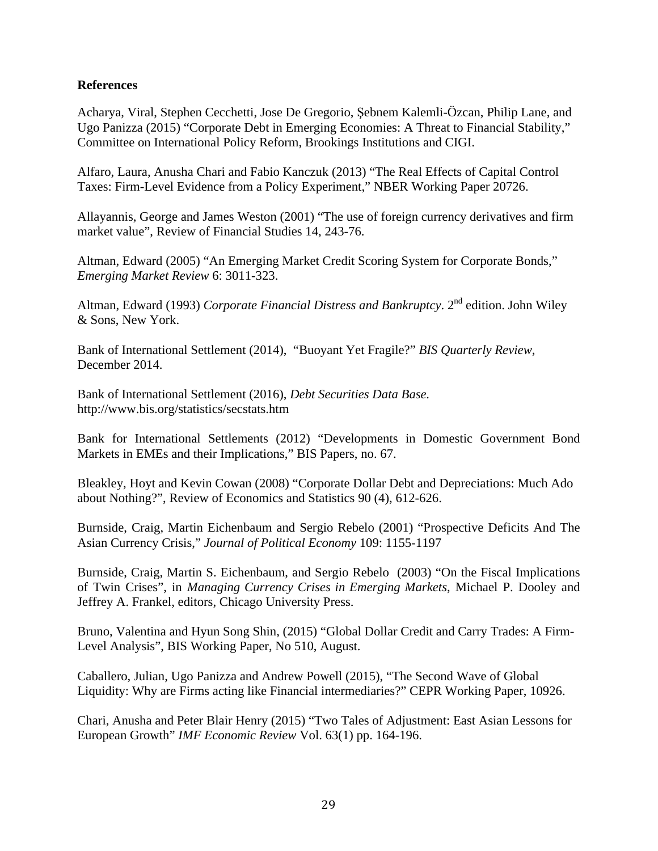# **References**

Acharya, Viral, Stephen Cecchetti, Jose De Gregorio, Şebnem Kalemli-Özcan, Philip Lane, and Ugo Panizza (2015) "Corporate Debt in Emerging Economies: A Threat to Financial Stability," Committee on International Policy Reform, Brookings Institutions and CIGI.

Alfaro, Laura, Anusha Chari and Fabio Kanczuk (2013) "The Real Effects of Capital Control Taxes: Firm-Level Evidence from a Policy Experiment," NBER Working Paper 20726.

Allayannis, George and James Weston (2001) "The use of foreign currency derivatives and firm market value", Review of Financial Studies 14, 243-76.

Altman, Edward (2005) "An Emerging Market Credit Scoring System for Corporate Bonds," *Emerging Market Review* 6: 3011-323.

Altman, Edward (1993) *Corporate Financial Distress and Bankruptcy*. 2<sup>nd</sup> edition. John Wiley & Sons, New York.

Bank of International Settlement (2014), "Buoyant Yet Fragile?" *BIS Quarterly Review*, December 2014.

Bank of International Settlement (2016), *Debt Securities Data Base.* http://www.bis.org/statistics/secstats.htm

Bank for International Settlements (2012) "Developments in Domestic Government Bond Markets in EMEs and their Implications," BIS Papers, no. 67.

Bleakley, Hoyt and Kevin Cowan (2008) "Corporate Dollar Debt and Depreciations: Much Ado about Nothing?", Review of Economics and Statistics 90 (4), 612-626.

Burnside, Craig, Martin Eichenbaum and Sergio Rebelo (2001) "Prospective Deficits And The Asian Currency Crisis," *Journal of Political Economy* 109: 1155-1197

Burnside, Craig, Martin S. Eichenbaum, and Sergio Rebelo (2003) "On the Fiscal Implications of Twin Crises", in *Managing Currency Crises in Emerging Markets*, Michael P. Dooley and Jeffrey A. Frankel, editors, Chicago University Press.

Bruno, Valentina and Hyun Song Shin, (2015) "Global Dollar Credit and Carry Trades: A Firm-Level Analysis", BIS Working Paper, No 510, August.

Caballero, Julian, Ugo Panizza and Andrew Powell (2015), "The Second Wave of Global Liquidity: Why are Firms acting like Financial intermediaries?" CEPR Working Paper, 10926.

Chari, Anusha and Peter Blair Henry (2015) "Two Tales of Adjustment: East Asian Lessons for European Growth" *IMF Economic Review* Vol. 63(1) pp. 164-196.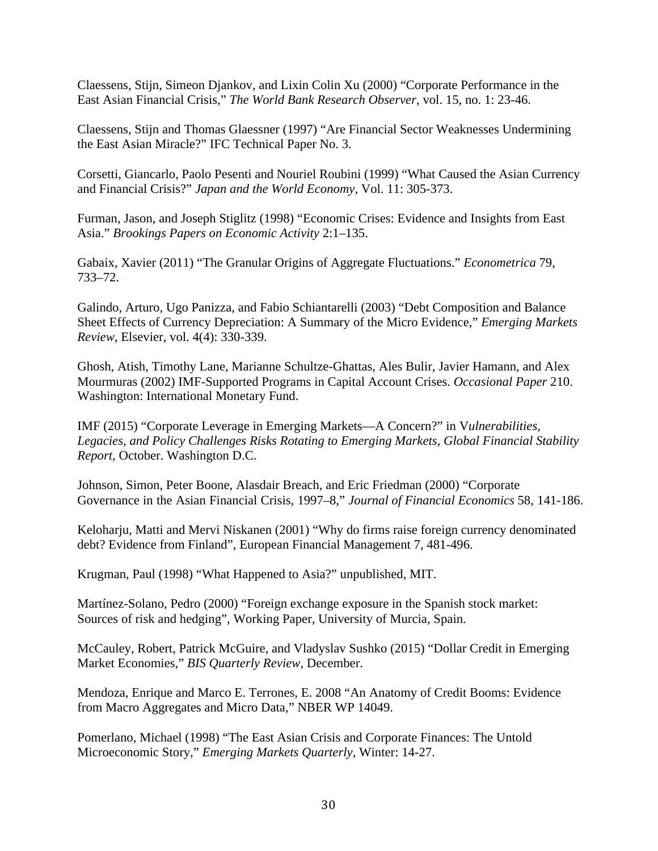Claessens, Stijn, Simeon Djankov, and Lixin Colin Xu (2000) "Corporate Performance in the East Asian Financial Crisis," *The World Bank Research Observer*, vol. 15, no. 1: 23-46.

Claessens, Stijn and Thomas Glaessner (1997) "Are Financial Sector Weaknesses Undermining the East Asian Miracle?" IFC Technical Paper No. 3.

Corsetti, Giancarlo, Paolo Pesenti and Nouriel Roubini (1999) "What Caused the Asian Currency and Financial Crisis?" *Japan and the World Economy,* Vol. 11: 305-373.

Furman, Jason, and Joseph Stiglitz (1998) "Economic Crises: Evidence and Insights from East Asia." *Brookings Papers on Economic Activity* 2:1–135.

Gabaix, Xavier (2011) "The Granular Origins of Aggregate Fluctuations." *Econometrica* 79, 733–72.

Galindo, Arturo, Ugo Panizza, and Fabio Schiantarelli (2003) "Debt Composition and Balance Sheet Effects of Currency Depreciation: A Summary of the Micro Evidence," *Emerging Markets Review*, Elsevier, vol. 4(4): 330-339.

Ghosh, Atish, Timothy Lane, Marianne Schultze-Ghattas, Ales Bulir, Javier Hamann, and Alex Mourmuras (2002) IMF-Supported Programs in Capital Account Crises. *Occasional Paper* 210. Washington: International Monetary Fund.

IMF (2015) "Corporate Leverage in Emerging Markets—A Concern?" in V*ulnerabilities, Legacies, and Policy Challenges Risks Rotating to Emerging Markets, Global Financial Stability Report*, October. Washington D.C.

Johnson, Simon, Peter Boone, Alasdair Breach, and Eric Friedman (2000) "Corporate Governance in the Asian Financial Crisis, 1997–8," *Journal of Financial Economics* 58, 141-186.

Keloharju, Matti and Mervi Niskanen (2001) "Why do firms raise foreign currency denominated debt? Evidence from Finland", European Financial Management 7, 481-496.

Krugman, Paul (1998) "What Happened to Asia?" unpublished, MIT.

Martínez-Solano, Pedro (2000) "Foreign exchange exposure in the Spanish stock market: Sources of risk and hedging", Working Paper, University of Murcia, Spain.

McCauley, Robert, Patrick McGuire, and Vladyslav Sushko (2015) "Dollar Credit in Emerging Market Economies," *BIS Quarterly Review*, December.

Mendoza, Enrique and Marco E. Terrones, E. 2008 "An Anatomy of Credit Booms: Evidence from Macro Aggregates and Micro Data," NBER WP 14049.

Pomerlano, Michael (1998) "The East Asian Crisis and Corporate Finances: The Untold Microeconomic Story," *Emerging Markets Quarterly*, Winter: 14-27.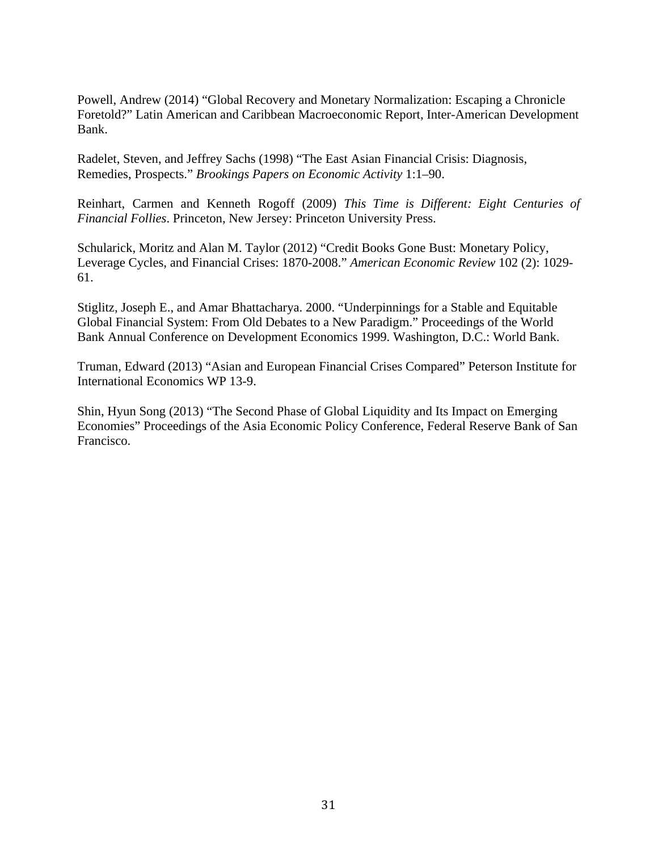Powell, Andrew (2014) "Global Recovery and Monetary Normalization: Escaping a Chronicle Foretold?" Latin American and Caribbean Macroeconomic Report, Inter-American Development Bank.

Radelet, Steven, and Jeffrey Sachs (1998) "The East Asian Financial Crisis: Diagnosis, Remedies, Prospects." *Brookings Papers on Economic Activity* 1:1–90.

Reinhart, Carmen and Kenneth Rogoff (2009) *This Time is Different: Eight Centuries of Financial Follies*. Princeton, New Jersey: Princeton University Press.

Schularick, Moritz and Alan M. Taylor (2012) "Credit Books Gone Bust: Monetary Policy, Leverage Cycles, and Financial Crises: 1870-2008." *American Economic Review* 102 (2): 1029- 61.

Stiglitz, Joseph E., and Amar Bhattacharya. 2000. "Underpinnings for a Stable and Equitable Global Financial System: From Old Debates to a New Paradigm." Proceedings of the World Bank Annual Conference on Development Economics 1999. Washington, D.C.: World Bank.

Truman, Edward (2013) "Asian and European Financial Crises Compared" Peterson Institute for International Economics WP 13-9.

Shin, Hyun Song (2013) "The Second Phase of Global Liquidity and Its Impact on Emerging Economies" Proceedings of the Asia Economic Policy Conference, Federal Reserve Bank of San Francisco.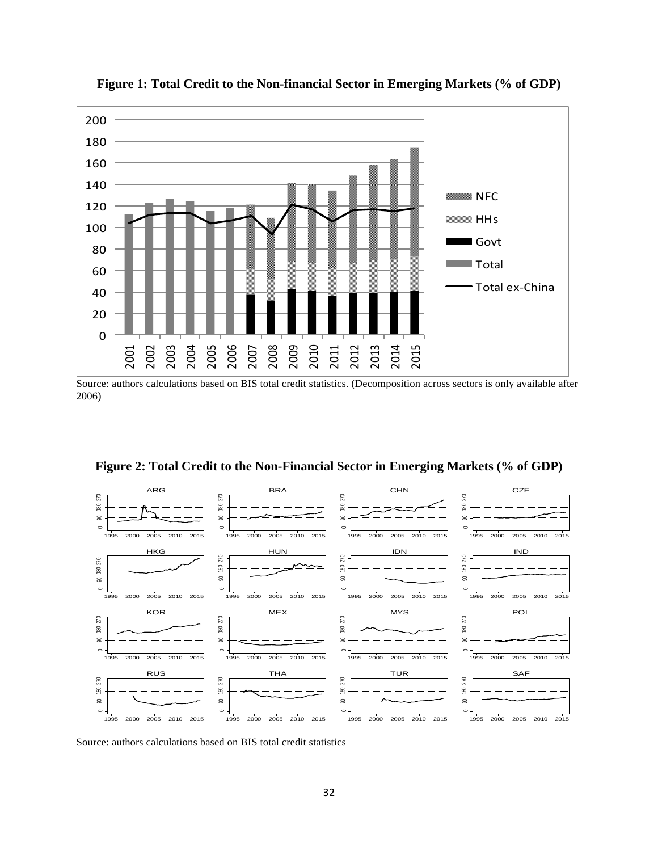

**Figure 1: Total Credit to the Non-financial Sector in Emerging Markets (% of GDP)**

Source: authors calculations based on BIS total credit statistics. (Decomposition across sectors is only available after 2006)





Source: authors calculations based on BIS total credit statistics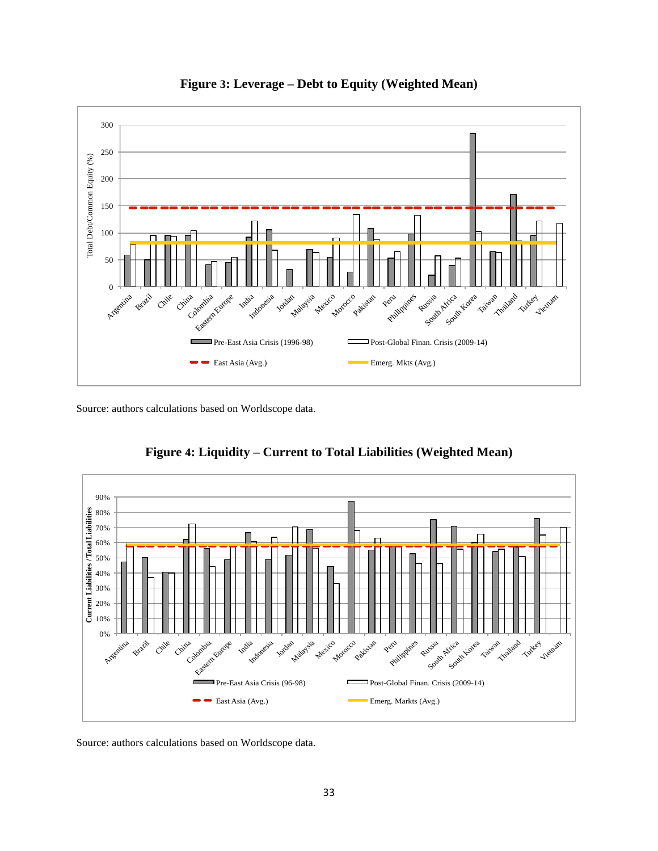



Source: authors calculations based on Worldscope data.



**Figure 4: Liquidity – Current to Total Liabilities (Weighted Mean)**

Source: authors calculations based on Worldscope data.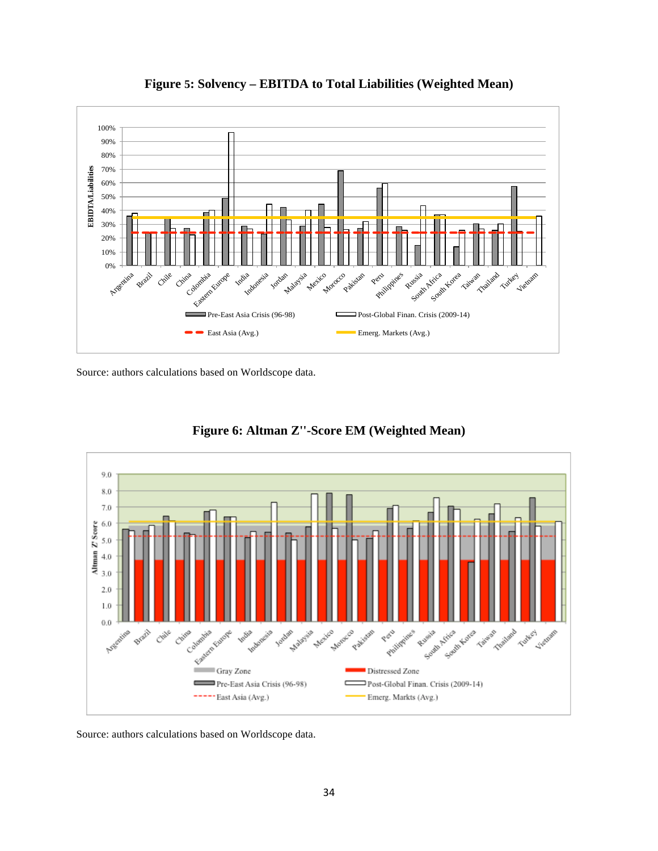

**Figure 5: Solvency – EBITDA to Total Liabilities (Weighted Mean)**

Source: authors calculations based on Worldscope data.



**Figure 6: Altman Z''-Score EM (Weighted Mean)**

Source: authors calculations based on Worldscope data.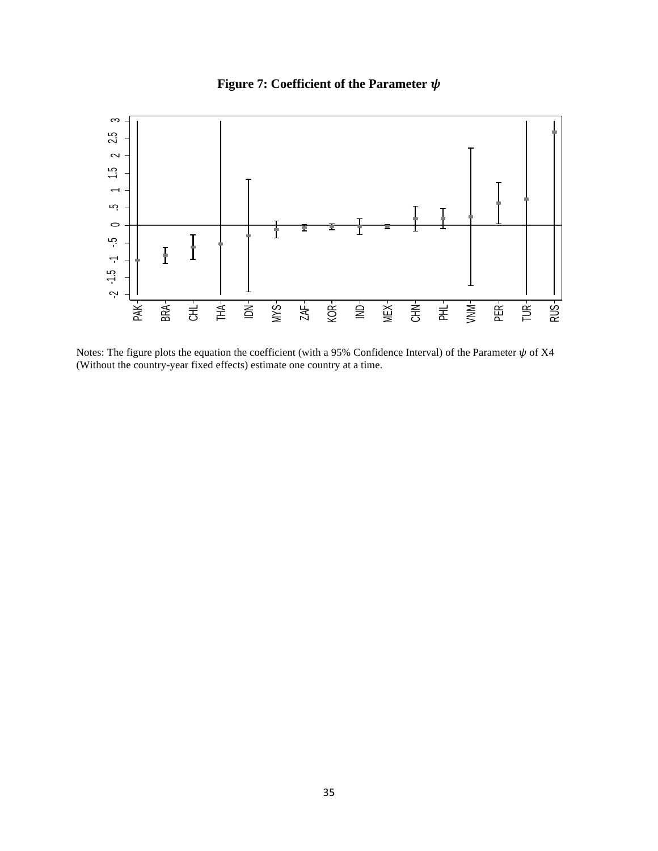



Notes: The figure plots the equation the coefficient (with a 95% Confidence Interval) of the Parameter  $\psi$  of X4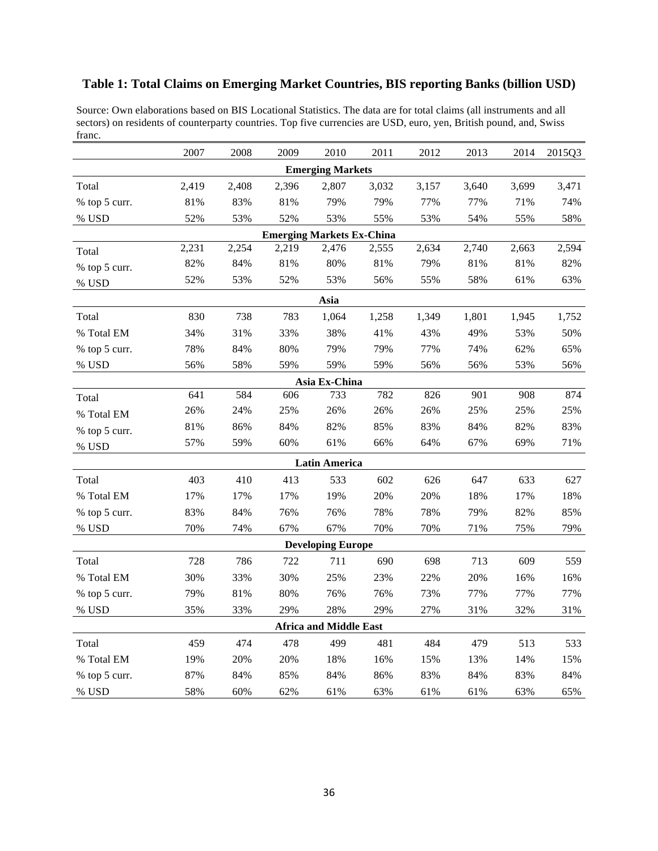# **Table 1: Total Claims on Emerging Market Countries, BIS reporting Banks (billion USD)**

Source: Own elaborations based on BIS Locational Statistics. The data are for total claims (all instruments and all sectors) on residents of counterparty countries. Top five currencies are USD, euro, yen, British pound, and, Swiss franc.

|               | 2007  | 2008  | 2009  | 2010                             | 2011  | 2012  | 2013  | 2014  | 2015Q3 |  |  |
|---------------|-------|-------|-------|----------------------------------|-------|-------|-------|-------|--------|--|--|
|               |       |       |       | <b>Emerging Markets</b>          |       |       |       |       |        |  |  |
| Total         | 2,419 | 2,408 | 2,396 | 2,807                            | 3,032 | 3,157 | 3,640 | 3,699 | 3,471  |  |  |
| % top 5 curr. | 81%   | 83%   | 81%   | 79%                              | 79%   | 77%   | 77%   | 71%   | 74%    |  |  |
| % USD         | 52%   | 53%   | 52%   | 53%                              | 55%   | 53%   | 54%   | 55%   | 58%    |  |  |
|               |       |       |       | <b>Emerging Markets Ex-China</b> |       |       |       |       |        |  |  |
| Total         | 2,231 | 2,254 | 2,219 | 2,476                            | 2,555 | 2,634 | 2,740 | 2,663 | 2,594  |  |  |
| % top 5 curr. | 82%   | 84%   | 81%   | 80%                              | 81%   | 79%   | 81%   | 81%   | 82%    |  |  |
| % USD         | 52%   | 53%   | 52%   | 53%                              | 56%   | 55%   | 58%   | 61%   | 63%    |  |  |
|               | Asia  |       |       |                                  |       |       |       |       |        |  |  |
| Total         | 830   | 738   | 783   | 1,064                            | 1,258 | 1,349 | 1,801 | 1,945 | 1,752  |  |  |
| % Total EM    | 34%   | 31%   | 33%   | 38%                              | 41%   | 43%   | 49%   | 53%   | 50%    |  |  |
| % top 5 curr. | 78%   | 84%   | 80%   | 79%                              | 79%   | 77%   | 74%   | 62%   | 65%    |  |  |
| % USD         | 56%   | 58%   | 59%   | 59%                              | 59%   | 56%   | 56%   | 53%   | 56%    |  |  |
|               |       |       |       | Asia Ex-China                    |       |       |       |       |        |  |  |
| Total         | 641   | 584   | 606   | 733                              | 782   | 826   | 901   | 908   | 874    |  |  |
| % Total EM    | 26%   | 24%   | 25%   | 26%                              | 26%   | 26%   | 25%   | 25%   | 25%    |  |  |
| % top 5 curr. | 81%   | 86%   | 84%   | 82%                              | 85%   | 83%   | 84%   | 82%   | 83%    |  |  |
| % USD         | 57%   | 59%   | 60%   | 61%                              | 66%   | 64%   | 67%   | 69%   | 71%    |  |  |
|               |       |       |       | <b>Latin America</b>             |       |       |       |       |        |  |  |
| Total         | 403   | 410   | 413   | 533                              | 602   | 626   | 647   | 633   | 627    |  |  |
| % Total EM    | 17%   | 17%   | 17%   | 19%                              | 20%   | 20%   | 18%   | 17%   | 18%    |  |  |
| % top 5 curr. | 83%   | 84%   | 76%   | 76%                              | 78%   | 78%   | 79%   | 82%   | 85%    |  |  |
| % USD         | 70%   | 74%   | 67%   | 67%                              | 70%   | 70%   | 71%   | 75%   | 79%    |  |  |
|               |       |       |       | <b>Developing Europe</b>         |       |       |       |       |        |  |  |
| Total         | 728   | 786   | 722   | 711                              | 690   | 698   | 713   | 609   | 559    |  |  |
| % Total EM    | 30%   | 33%   | 30%   | 25%                              | 23%   | 22%   | 20%   | 16%   | 16%    |  |  |
| % top 5 curr. | 79%   | 81%   | 80%   | 76%                              | 76%   | 73%   | 77%   | 77%   | 77%    |  |  |
| % USD         | 35%   | 33%   | 29%   | 28%                              | 29%   | 27%   | 31%   | 32%   | 31%    |  |  |
|               |       |       |       | <b>Africa and Middle East</b>    |       |       |       |       |        |  |  |
| Total         | 459   | 474   | 478   | 499                              | 481   | 484   | 479   | 513   | 533    |  |  |
| % Total EM    | 19%   | 20%   | 20%   | 18%                              | 16%   | 15%   | 13%   | 14%   | 15%    |  |  |
| % top 5 curr. | 87%   | 84%   | 85%   | 84%                              | 86%   | 83%   | 84%   | 83%   | 84%    |  |  |
| % USD         | 58%   | 60%   | 62%   | 61%                              | 63%   | 61%   | 61%   | 63%   | 65%    |  |  |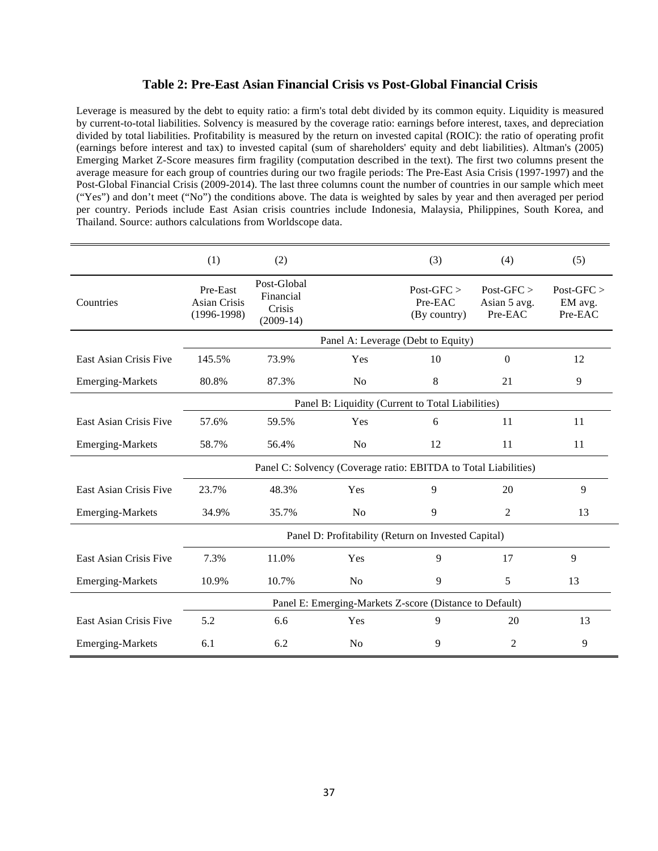# **Table 2: Pre-East Asian Financial Crisis vs Post-Global Financial Crisis**

Leverage is measured by the debt to equity ratio: a firm's total debt divided by its common equity. Liquidity is measured by current-to-total liabilities. Solvency is measured by the coverage ratio: earnings before interest, taxes, and depreciation divided by total liabilities. Profitability is measured by the return on invested capital (ROIC): the ratio of operating profit (earnings before interest and tax) to invested capital (sum of shareholders' equity and debt liabilities). Altman's (2005) Emerging Market Z-Score measures firm fragility (computation described in the text). The first two columns present the average measure for each group of countries during our two fragile periods: The Pre-East Asia Crisis (1997-1997) and the Post-Global Financial Crisis (2009-2014). The last three columns count the number of countries in our sample which meet ("Yes") and don't meet ("No") the conditions above. The data is weighted by sales by year and then averaged per period per country. Periods include East Asian crisis countries include Indonesia, Malaysia, Philippines, South Korea, and Thailand. Source: authors calculations from Worldscope data.

|                         | (1)                                                     | (2)                                               |                                                                 | (3)                                   | (4)                                   | (5)                              |
|-------------------------|---------------------------------------------------------|---------------------------------------------------|-----------------------------------------------------------------|---------------------------------------|---------------------------------------|----------------------------------|
| Countries               | Pre-East<br>Asian Crisis<br>$(1996-1998)$               | Post-Global<br>Financial<br>Crisis<br>$(2009-14)$ |                                                                 | $Post-GFC$<br>Pre-EAC<br>(By country) | $Post-GFC$<br>Asian 5 avg.<br>Pre-EAC | $Post-GFC$<br>EM avg.<br>Pre-EAC |
|                         | Panel A: Leverage (Debt to Equity)                      |                                                   |                                                                 |                                       |                                       |                                  |
| East Asian Crisis Five  | 145.5%                                                  | 73.9%                                             | Yes                                                             | 10                                    | $\boldsymbol{0}$                      | 12                               |
| <b>Emerging-Markets</b> | 80.8%                                                   | 87.3%                                             | No                                                              | 8                                     | 21                                    | 9                                |
|                         |                                                         |                                                   | Panel B: Liquidity (Current to Total Liabilities)               |                                       |                                       |                                  |
| East Asian Crisis Five  | 57.6%                                                   | 59.5%                                             | Yes                                                             | 6                                     | 11                                    | 11                               |
| <b>Emerging-Markets</b> | 58.7%                                                   | 56.4%                                             | No                                                              | 12                                    | 11                                    | 11                               |
|                         |                                                         |                                                   | Panel C: Solvency (Coverage ratio: EBITDA to Total Liabilities) |                                       |                                       |                                  |
| East Asian Crisis Five  | 23.7%                                                   | 48.3%                                             | Yes                                                             | 9                                     | 20                                    | 9                                |
| <b>Emerging-Markets</b> | 34.9%                                                   | 35.7%                                             | N <sub>o</sub>                                                  | 9                                     | 2                                     | 13                               |
|                         |                                                         |                                                   | Panel D: Profitability (Return on Invested Capital)             |                                       |                                       |                                  |
| East Asian Crisis Five  | 7.3%                                                    | 11.0%                                             | Yes                                                             | 9                                     | 17                                    | 9                                |
| <b>Emerging-Markets</b> | 10.9%                                                   | 10.7%                                             | No                                                              | 9                                     | 5                                     | 13                               |
|                         | Panel E: Emerging-Markets Z-score (Distance to Default) |                                                   |                                                                 |                                       |                                       |                                  |
| East Asian Crisis Five  | 5.2                                                     | 6.6                                               | Yes                                                             | 9                                     | 20                                    | 13                               |
| <b>Emerging-Markets</b> | 6.1                                                     | 6.2                                               | No                                                              | 9                                     | 2                                     | 9                                |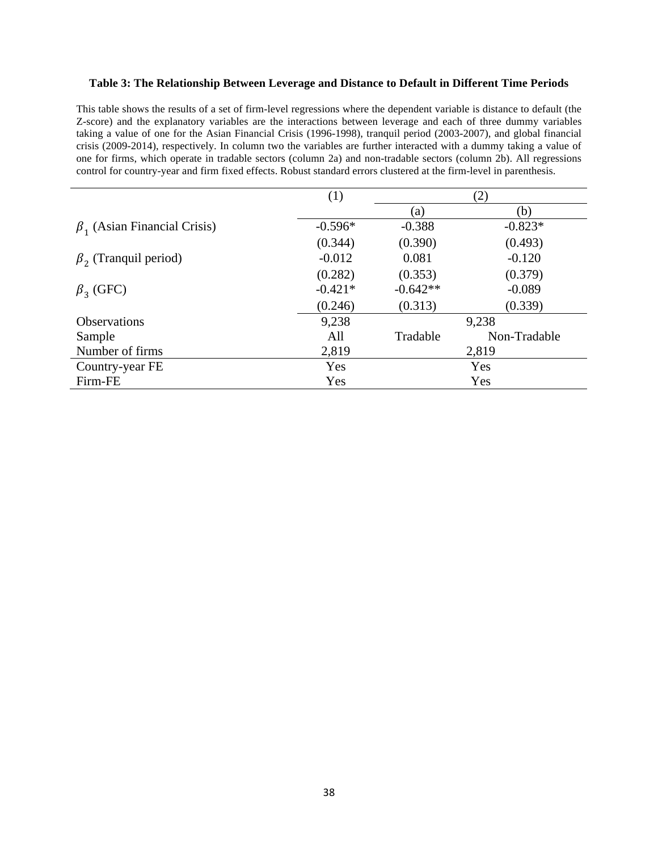#### **Table 3: The Relationship Between Leverage and Distance to Default in Different Time Periods**

This table shows the results of a set of firm-level regressions where the dependent variable is distance to default (the Z-score) and the explanatory variables are the interactions between leverage and each of three dummy variables taking a value of one for the Asian Financial Crisis (1996-1998), tranquil period (2003-2007), and global financial crisis (2009-2014), respectively. In column two the variables are further interacted with a dummy taking a value of one for firms, which operate in tradable sectors (column 2a) and non-tradable sectors (column 2b). All regressions control for country-year and firm fixed effects. Robust standard errors clustered at the firm-level in parenthesis.

|                                    | (1)       |            | (2)          |
|------------------------------------|-----------|------------|--------------|
|                                    |           | (a)        | (b)          |
| $\beta_1$ (Asian Financial Crisis) | $-0.596*$ | $-0.388$   | $-0.823*$    |
|                                    | (0.344)   | (0.390)    | (0.493)      |
| $\beta$ , (Tranquil period)        | $-0.012$  | 0.081      | $-0.120$     |
|                                    | (0.282)   | (0.353)    | (0.379)      |
| $\beta_3$ (GFC)                    | $-0.421*$ | $-0.642**$ | $-0.089$     |
|                                    | (0.246)   | (0.313)    | (0.339)      |
| <b>Observations</b>                | 9,238     |            | 9,238        |
| Sample                             | All       | Tradable   | Non-Tradable |
| Number of firms                    | 2,819     |            | 2,819        |
| Country-year FE                    | Yes       |            | Yes          |
| Firm-FE                            | Yes       |            | Yes          |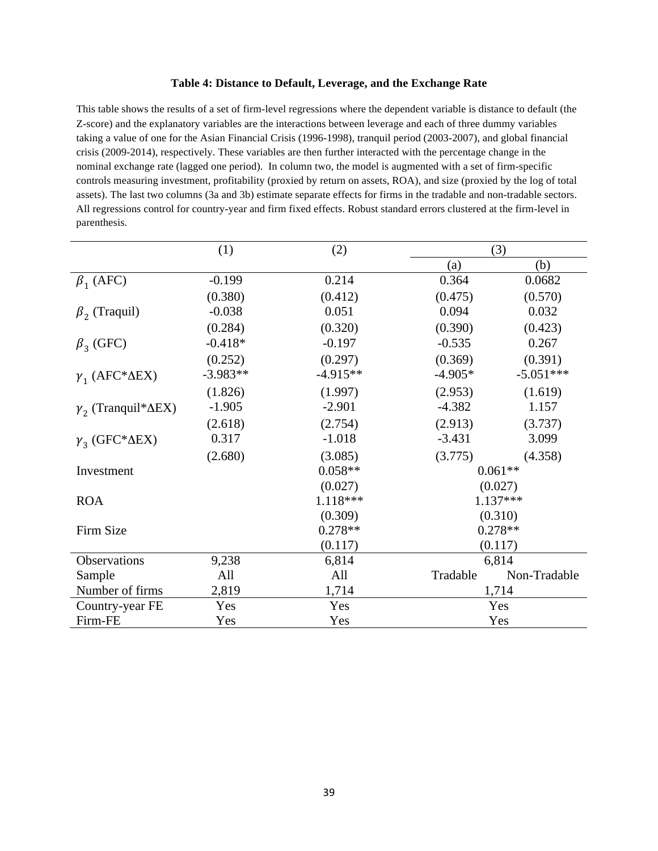#### **Table 4: Distance to Default, Leverage, and the Exchange Rate**

This table shows the results of a set of firm-level regressions where the dependent variable is distance to default (the Z-score) and the explanatory variables are the interactions between leverage and each of three dummy variables taking a value of one for the Asian Financial Crisis (1996-1998), tranquil period (2003-2007), and global financial crisis (2009-2014), respectively. These variables are then further interacted with the percentage change in the nominal exchange rate (lagged one period). In column two, the model is augmented with a set of firm-specific controls measuring investment, profitability (proxied by return on assets, ROA), and size (proxied by the log of total assets). The last two columns (3a and 3b) estimate separate effects for firms in the tradable and non-tradable sectors. All regressions control for country-year and firm fixed effects. Robust standard errors clustered at the firm-level in parenthesis.

|                                    | (1)        | (2)        | (3)        |              |
|------------------------------------|------------|------------|------------|--------------|
|                                    |            |            | (a)        | (b)          |
| $\beta_1$ (AFC)                    | $-0.199$   | 0.214      | 0.364      | 0.0682       |
|                                    | (0.380)    | (0.412)    | (0.475)    | (0.570)      |
| $\beta$ , (Traquil)                | $-0.038$   | 0.051      | 0.094      | 0.032        |
|                                    | (0.284)    | (0.320)    | (0.390)    | (0.423)      |
| $\beta_3$ (GFC)                    | $-0.418*$  | $-0.197$   | $-0.535$   | 0.267        |
|                                    | (0.252)    | (0.297)    | (0.369)    | (0.391)      |
| $\gamma_1$ (AFC* $\Delta$ EX)      | $-3.983**$ | $-4.915**$ | $-4.905*$  | $-5.051***$  |
|                                    | (1.826)    | (1.997)    | (2.953)    | (1.619)      |
| $\gamma_2$ (Tranquil* $\Delta$ EX) | $-1.905$   | $-2.901$   | $-4.382$   | 1.157        |
|                                    | (2.618)    | (2.754)    | (2.913)    | (3.737)      |
| $\gamma_3$ (GFC* $\Delta$ EX)      | 0.317      | $-1.018$   | $-3.431$   | 3.099        |
|                                    | (2.680)    | (3.085)    | (3.775)    | (4.358)      |
| Investment                         |            | $0.058**$  | $0.061**$  |              |
|                                    |            | (0.027)    |            | (0.027)      |
| <b>ROA</b>                         |            | 1.118***   | $1.137***$ |              |
|                                    |            | (0.309)    |            | (0.310)      |
| Firm Size                          |            | $0.278**$  |            | $0.278**$    |
|                                    |            | (0.117)    |            | (0.117)      |
| Observations                       | 9,238      | 6,814      |            | 6,814        |
| Sample                             | All        | All        | Tradable   | Non-Tradable |
| Number of firms                    | 2,819      | 1,714      |            | 1,714        |
| Country-year FE                    | Yes        | Yes        |            | Yes          |
| Firm-FE                            | Yes        | Yes        | Yes        |              |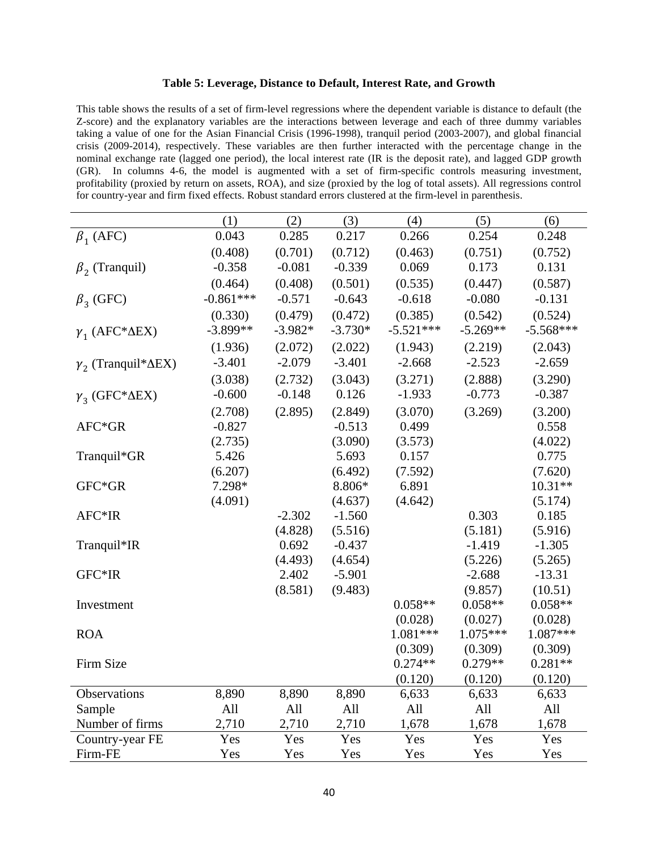#### **Table 5: Leverage, Distance to Default, Interest Rate, and Growth**

This table shows the results of a set of firm-level regressions where the dependent variable is distance to default (the Z-score) and the explanatory variables are the interactions between leverage and each of three dummy variables taking a value of one for the Asian Financial Crisis (1996-1998), tranquil period (2003-2007), and global financial crisis (2009-2014), respectively. These variables are then further interacted with the percentage change in the nominal exchange rate (lagged one period), the local interest rate (IR is the deposit rate), and lagged GDP growth (GR). In columns 4-6, the model is augmented with a set of firm-specific controls measuring investment, profitability (proxied by return on assets, ROA), and size (proxied by the log of total assets). All regressions control for country-year and firm fixed effects. Robust standard errors clustered at the firm-level in parenthesis.

|                                    | (1)         | (2)       | (3)       | (4)         |            |             |
|------------------------------------|-------------|-----------|-----------|-------------|------------|-------------|
|                                    |             |           |           |             | (5)        | (6)         |
| $\beta_1$ (AFC)                    | 0.043       | 0.285     | 0.217     | 0.266       | 0.254      | 0.248       |
|                                    | (0.408)     | (0.701)   | (0.712)   | (0.463)     | (0.751)    | (0.752)     |
| $\beta$ , (Tranquil)               | $-0.358$    | $-0.081$  | $-0.339$  | 0.069       | 0.173      | 0.131       |
|                                    | (0.464)     | (0.408)   | (0.501)   | (0.535)     | (0.447)    | (0.587)     |
| $\beta_3$ (GFC)                    | $-0.861***$ | $-0.571$  | $-0.643$  | $-0.618$    | $-0.080$   | $-0.131$    |
|                                    | (0.330)     | (0.479)   | (0.472)   | (0.385)     | (0.542)    | (0.524)     |
| $\gamma_1$ (AFC* $\Delta$ EX)      | $-3.899**$  | $-3.982*$ | $-3.730*$ | $-5.521***$ | $-5.269**$ | $-5.568***$ |
|                                    | (1.936)     | (2.072)   | (2.022)   | (1.943)     | (2.219)    | (2.043)     |
| $\gamma_2$ (Tranquil* $\Delta$ EX) | $-3.401$    | $-2.079$  | $-3.401$  | $-2.668$    | $-2.523$   | $-2.659$    |
|                                    | (3.038)     | (2.732)   | (3.043)   | (3.271)     | (2.888)    | (3.290)     |
| $\gamma_3$ (GFC* $\Delta$ EX)      | $-0.600$    | $-0.148$  | 0.126     | $-1.933$    | $-0.773$   | $-0.387$    |
|                                    | (2.708)     | (2.895)   | (2.849)   | (3.070)     | (3.269)    | (3.200)     |
| AFC*GR                             | $-0.827$    |           | $-0.513$  | 0.499       |            | 0.558       |
|                                    | (2.735)     |           | (3.090)   | (3.573)     |            | (4.022)     |
| Tranquil*GR                        | 5.426       |           | 5.693     | 0.157       |            | 0.775       |
|                                    | (6.207)     |           | (6.492)   | (7.592)     |            | (7.620)     |
| GFC*GR                             | 7.298*      |           | 8.806*    | 6.891       |            | $10.31**$   |
|                                    | (4.091)     |           | (4.637)   | (4.642)     |            | (5.174)     |
| AFC*IR                             |             | $-2.302$  | $-1.560$  |             | 0.303      | 0.185       |
|                                    |             | (4.828)   | (5.516)   |             | (5.181)    | (5.916)     |
| Tranquil*IR                        |             | 0.692     | $-0.437$  |             | $-1.419$   | $-1.305$    |
|                                    |             | (4.493)   | (4.654)   |             | (5.226)    | (5.265)     |
| GFC*IR                             |             | 2.402     | $-5.901$  |             | $-2.688$   | $-13.31$    |
|                                    |             | (8.581)   | (9.483)   |             | (9.857)    | (10.51)     |
| Investment                         |             |           |           | $0.058**$   | $0.058**$  | $0.058**$   |
|                                    |             |           |           | (0.028)     | (0.027)    | (0.028)     |
| <b>ROA</b>                         |             |           |           | 1.081***    | 1.075***   | 1.087***    |
|                                    |             |           |           | (0.309)     | (0.309)    | (0.309)     |
| Firm Size                          |             |           |           | $0.274**$   | $0.279**$  | $0.281**$   |
|                                    |             |           |           | (0.120)     | (0.120)    | (0.120)     |
| Observations                       | 8,890       | 8,890     | 8,890     | 6,633       | 6,633      | 6,633       |
| Sample                             | All         | All       | All       | All         | All        | All         |
| Number of firms                    | 2,710       | 2,710     | 2,710     | 1,678       | 1,678      | 1,678       |
| Country-year FE                    | Yes         | Yes       | Yes       | Yes         | Yes        | Yes         |
| Firm-FE                            | Yes         | Yes       | Yes       | Yes         | Yes        | Yes         |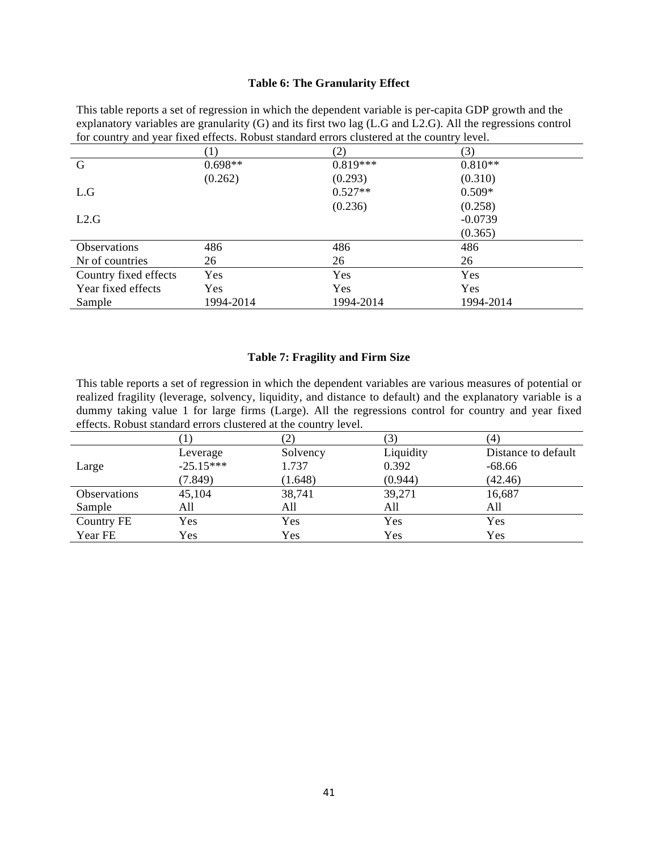#### **Table 6: The Granularity Effect**

This table reports a set of regression in which the dependent variable is per-capita GDP growth and the explanatory variables are granularity (G) and its first two lag (L.G and L2.G). All the regressions control for country and year fixed effects. Robust standard errors clustered at the country level.

|                       | $\left(1\right)$ | (2)        | (3)       |  |
|-----------------------|------------------|------------|-----------|--|
| G                     | $0.698**$        | $0.819***$ | $0.810**$ |  |
|                       | (0.262)          | (0.293)    | (0.310)   |  |
| L.G                   |                  | $0.527**$  | $0.509*$  |  |
|                       |                  | (0.236)    | (0.258)   |  |
| L2.G                  |                  |            | $-0.0739$ |  |
|                       |                  |            | (0.365)   |  |
| <b>Observations</b>   | 486              | 486        | 486       |  |
| Nr of countries       | 26               | 26         | 26        |  |
| Country fixed effects | Yes              | Yes        | Yes       |  |
| Year fixed effects    | Yes              | Yes        | Yes       |  |
| Sample                | 1994-2014        | 1994-2014  | 1994-2014 |  |

#### **Table 7: Fragility and Firm Size**

This table reports a set of regression in which the dependent variables are various measures of potential or realized fragility (leverage, solvency, liquidity, and distance to default) and the explanatory variable is a dummy taking value 1 for large firms (Large). All the regressions control for country and year fixed effects. Robust standard errors clustered at the country level.

|                     |             |          |           | (4)                 |
|---------------------|-------------|----------|-----------|---------------------|
|                     | Leverage    | Solvency | Liquidity | Distance to default |
| Large               | $-25.15***$ | 1.737    | 0.392     | $-68.66$            |
|                     | (7.849)     | (1.648)  | (0.944)   | (42.46)             |
| <b>Observations</b> | 45,104      | 38,741   | 39,271    | 16,687              |
| Sample              | All         | All      | All       | All                 |
| Country FE          | Yes         | Yes      | Yes       | Yes                 |
| Year FE             | Yes         | Yes      | Yes       | Yes                 |